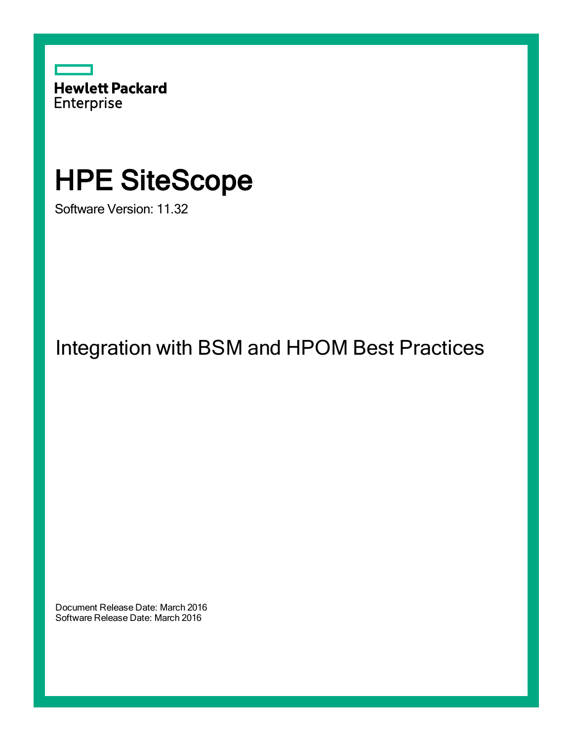

# HPE SiteScope

Software Version: 11.32

Integration with BSM and HPOM Best Practices

Document Release Date: March 2016 Software Release Date: March 2016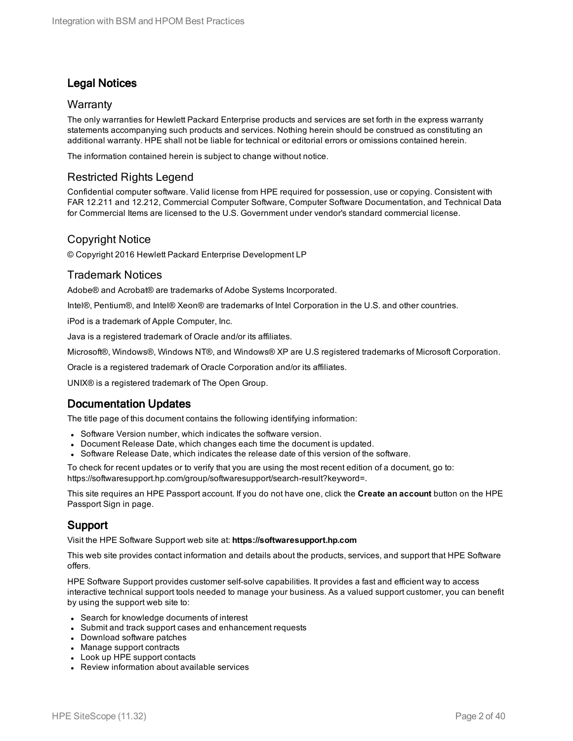# Legal Notices

#### **Warranty**

The only warranties for Hewlett Packard Enterprise products and services are set forth in the express warranty statements accompanying such products and services. Nothing herein should be construed as constituting an additional warranty. HPE shall not be liable for technical or editorial errors or omissions contained herein.

The information contained herein is subject to change without notice.

## Restricted Rights Legend

Confidential computer software. Valid license from HPE required for possession, use or copying. Consistent with FAR 12.211 and 12.212, Commercial Computer Software, Computer Software Documentation, and Technical Data for Commercial Items are licensed to the U.S. Government under vendor's standard commercial license.

#### Copyright Notice

© Copyright 2016 Hewlett Packard Enterprise Development LP

#### Trademark Notices

Adobe® and Acrobat® are trademarks of Adobe Systems Incorporated.

Intel®, Pentium®, and Intel® Xeon® are trademarks of Intel Corporation in the U.S. and other countries.

iPod is a trademark of Apple Computer, Inc.

Java is a registered trademark of Oracle and/or its affiliates.

Microsoft®, Windows®, Windows NT®, and Windows® XP are U.S registered trademarks of Microsoft Corporation.

Oracle is a registered trademark of Oracle Corporation and/or its affiliates.

UNIX® is a registered trademark of The Open Group.

## Documentation Updates

The title page of this document contains the following identifying information:

- Software Version number, which indicates the software version.
- Document Release Date, which changes each time the document is updated.
- Software Release Date, which indicates the release date of this version of the software.

To check for recent updates or to verify that you are using the most recent edition of a document, go to: https://softwaresupport.hp.com/group/softwaresupport/search-result?keyword=.

This site requires an HPE Passport account. If you do not have one, click the **Create an account** button on the HPE Passport Sign in page.

## Support

Visit the HPE Software Support web site at: **https://softwaresupport.hp.com**

This web site provides contact information and details about the products, services, and support that HPE Software offers.

HPE Software Support provides customer self-solve capabilities. It provides a fast and efficient way to access interactive technical support tools needed to manage your business. As a valued support customer, you can benefit by using the support web site to:

- Search for knowledge documents of interest
- Submit and track support cases and enhancement requests
- Download software patches
- Manage support contracts
- Look up HPE support contacts
- Review information about available services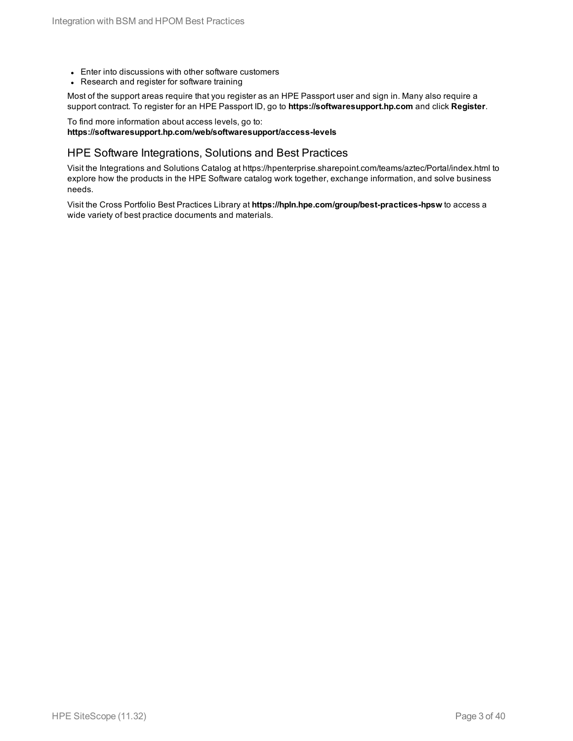- Enter into discussions with other software customers
- Research and register for software training

Most of the support areas require that you register as an HPE Passport user and sign in. Many also require a support contract. To register for an HPE Passport ID, go to **https://softwaresupport.hp.com** and click **Register**.

#### To find more information about access levels, go to: **https://softwaresupport.hp.com/web/softwaresupport/access-levels**

#### HPE Software Integrations, Solutions and Best Practices

Visit the Integrations and Solutions Catalog at https://hpenterprise.sharepoint.com/teams/aztec/Portal/index.html to explore how the products in the HPE Software catalog work together, exchange information, and solve business needs.

Visit the Cross Portfolio Best Practices Library at **https://hpln.hpe.com/group/best-practices-hpsw** to access a wide variety of best practice documents and materials.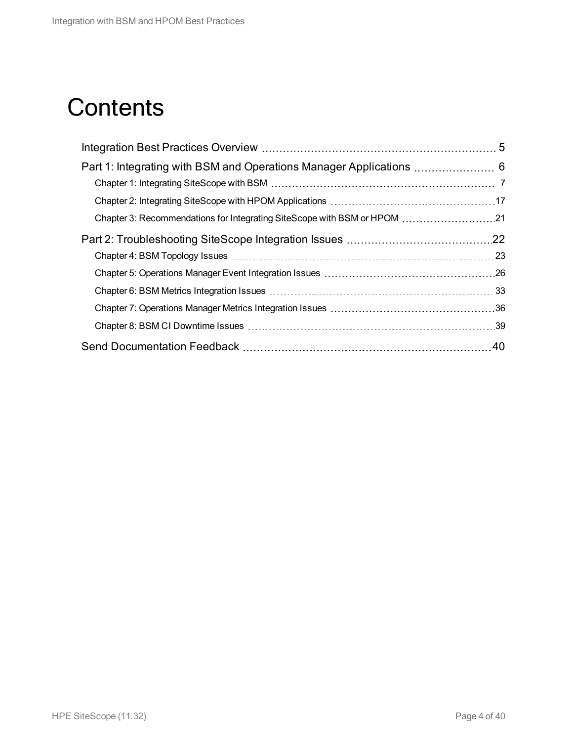# **Contents**

| .40 |
|-----|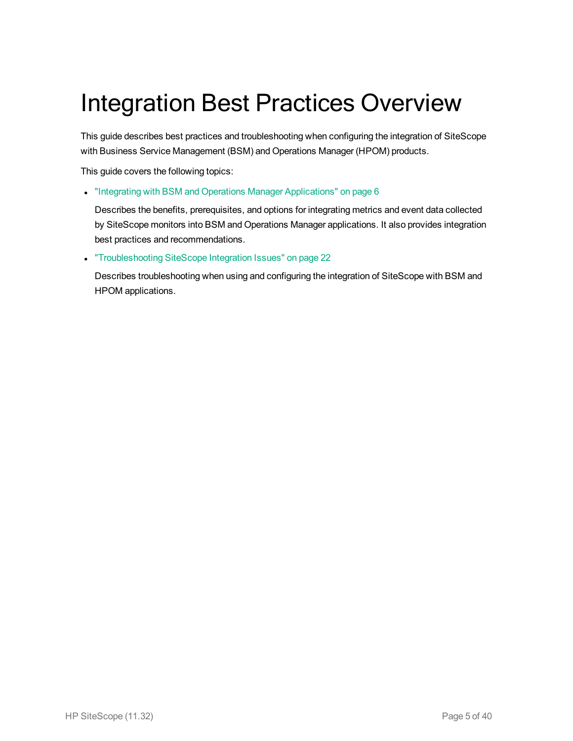# <span id="page-4-0"></span>Integration Best Practices Overview

This guide describes best practices and troubleshooting when configuring the integration of SiteScope with Business Service Management (BSM) and Operations Manager (HPOM) products.

This guide covers the following topics:

• "Integrating with BSM and Operations Manager [Applications"](#page-5-0) on page 6

Describes the benefits, prerequisites, and options for integrating metrics and event data collected by SiteScope monitors into BSM and Operations Manager applications. It also provides integration best practices and recommendations.

**.** ["Troubleshooting](#page-21-0) SiteScope Integration Issues" on page 22

Describes troubleshooting when using and configuring the integration of SiteScope with BSM and HPOM applications.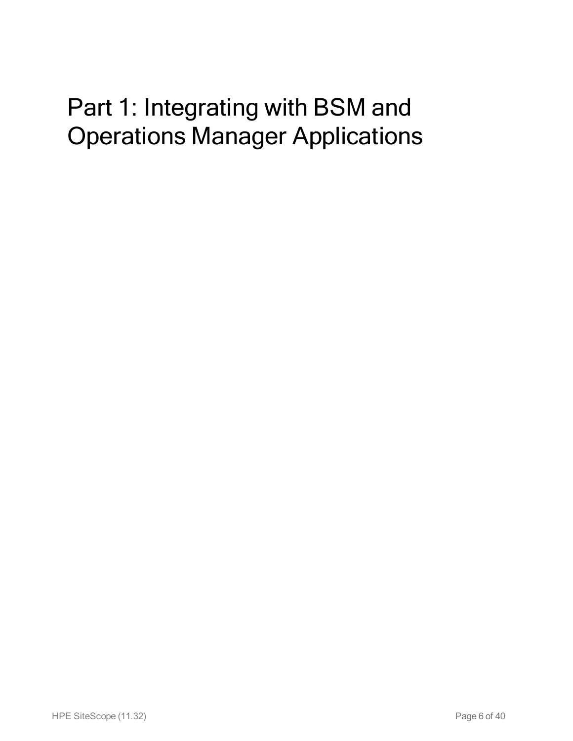# <span id="page-5-0"></span>Part 1: Integrating with BSM and Operations Manager Applications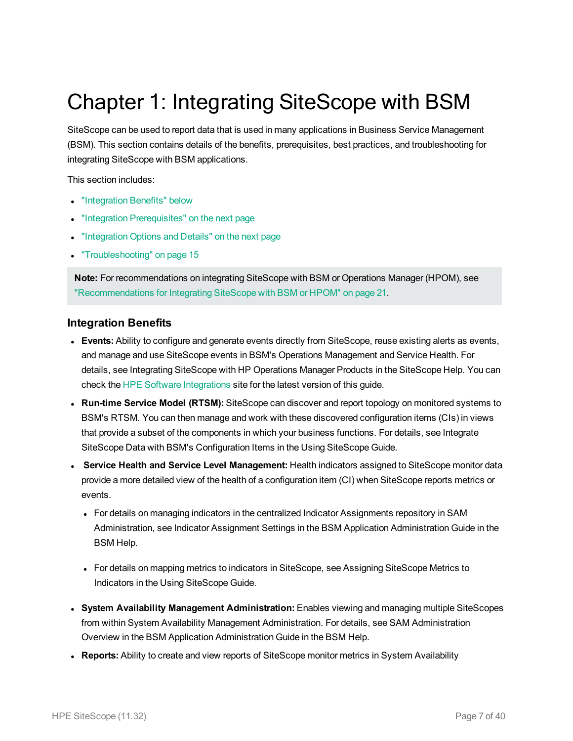# <span id="page-6-0"></span>Chapter 1: Integrating SiteScope with BSM

SiteScope can be used to report data that is used in many applications in Business Service Management (BSM). This section contains details of the benefits, prerequisites, best practices, and troubleshooting for integrating SiteScope with BSM applications.

This section includes:

- ["Integration](#page-6-1) Benefits" below
- "Integration [Prerequisites"](#page-7-0) on the next page
- ["Integration](#page-7-1) Options and Details" on the next page
- ["Troubleshooting"](#page-14-0) on page 15

**Note:** For recommendations on integrating SiteScope with BSM or Operations Manager (HPOM), see ["Recommendations](#page-20-0) for Integrating SiteScope with BSM or HPOM" on page 21.

#### <span id="page-6-1"></span>**Integration Benefits**

- **Events:** Ability to configure and generate events directly from SiteScope, reuse existing alerts as events, and manage and use SiteScope events in BSM's Operations Management and Service Health. For details, see Integrating SiteScope with HP Operations Manager Products in the SiteScope Help. You can check the [HPE Software](https://hpenterprise.sharepoint.com/teams/aztec/Portal/index.html) Integrations site for the latest version of this guide.
- <sup>l</sup> **Run-time Service Model (RTSM):** SiteScope can discover and report topology on monitored systems to BSM's RTSM. You can then manage and work with these discovered configuration items (CIs) in views that provide a subset of the components in which your business functions. For details, see Integrate SiteScope Data with BSM's Configuration Items in the Using SiteScope Guide.
- <sup>l</sup> **Service Health and Service Level Management:** Health indicators assigned to SiteScope monitor data provide a more detailed view of the health of a configuration item (CI) when SiteScope reports metrics or events.
	- For details on managing indicators in the centralized Indicator Assignments repository in SAM Administration, see Indicator Assignment Settings in the BSM Application Administration Guide in the BSM Help.
	- <sup>l</sup> For details on mapping metrics to indicators in SiteScope, see Assigning SiteScope Metrics to Indicators in the Using SiteScope Guide.
- <sup>l</sup> **System Availability Management Administration:** Enables viewing and managing multiple SiteScopes from within System Availability Management Administration. For details, see SAM Administration Overview in the BSM Application Administration Guide in the BSM Help.
- **Reports:** Ability to create and view reports of SiteScope monitor metrics in System Availability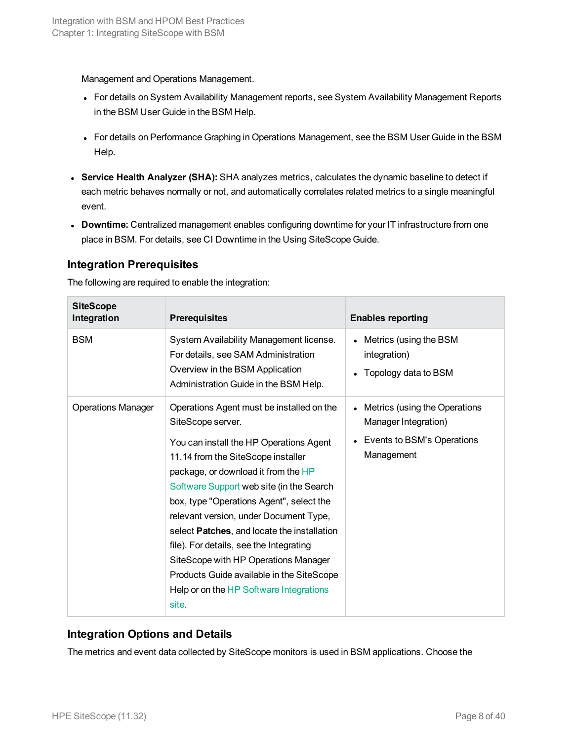Management and Operations Management.

- For details on System Availability Management reports, see System Availability Management Reports in the BSM User Guide in the BSM Help.
- <sup>l</sup> For details on Performance Graphing in Operations Management, see the BSM User Guide in the BSM Help.
- <sup>l</sup> **Service Health Analyzer (SHA):** SHA analyzes metrics, calculates the dynamic baseline to detect if each metric behaves normally or not, and automatically correlates related metrics to a single meaningful event.
- **Downtime:** Centralized management enables configuring downtime for your IT infrastructure from one place in BSM. For details, see CI Downtime in the Using SiteScope Guide.

## <span id="page-7-0"></span>**Integration Prerequisites**

The following are required to enable the integration:

| <b>SiteScope</b><br>Integration | <b>Prerequisites</b>                                                                                                                                                                                                                                                                                                                                                                                                                                                                                                                                                | <b>Enables reporting</b>                                                                          |
|---------------------------------|---------------------------------------------------------------------------------------------------------------------------------------------------------------------------------------------------------------------------------------------------------------------------------------------------------------------------------------------------------------------------------------------------------------------------------------------------------------------------------------------------------------------------------------------------------------------|---------------------------------------------------------------------------------------------------|
| <b>BSM</b>                      | System Availability Management license.<br>For details, see SAM Administration<br>Overview in the BSM Application<br>Administration Guide in the BSM Help.                                                                                                                                                                                                                                                                                                                                                                                                          | Metrics (using the BSM<br>integration)<br>Topology data to BSM                                    |
| <b>Operations Manager</b>       | Operations Agent must be installed on the<br>SiteScope server.<br>You can install the HP Operations Agent<br>11.14 from the SiteScope installer<br>package, or download it from the HP<br>Software Support web site (in the Search<br>box, type "Operations Agent", select the<br>relevant version, under Document Type,<br>select <b>Patches</b> , and locate the installation<br>file). For details, see the Integrating<br>SiteScope with HP Operations Manager<br>Products Guide available in the SiteScope<br>Help or on the HP Software Integrations<br>site. | Metrics (using the Operations<br>Manager Integration)<br>Events to BSM's Operations<br>Management |

## <span id="page-7-1"></span>**Integration Options and Details**

The metrics and event data collected by SiteScope monitors is used in BSM applications. Choose the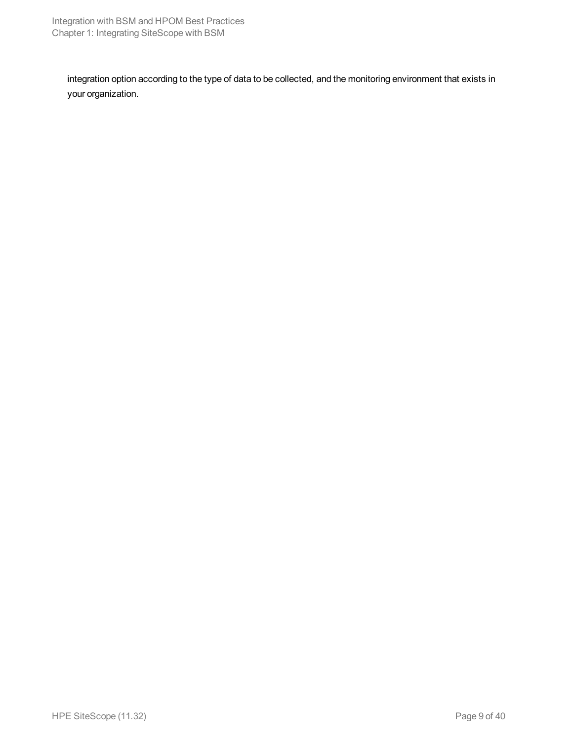integration option according to the type of data to be collected, and the monitoring environment that exists in your organization.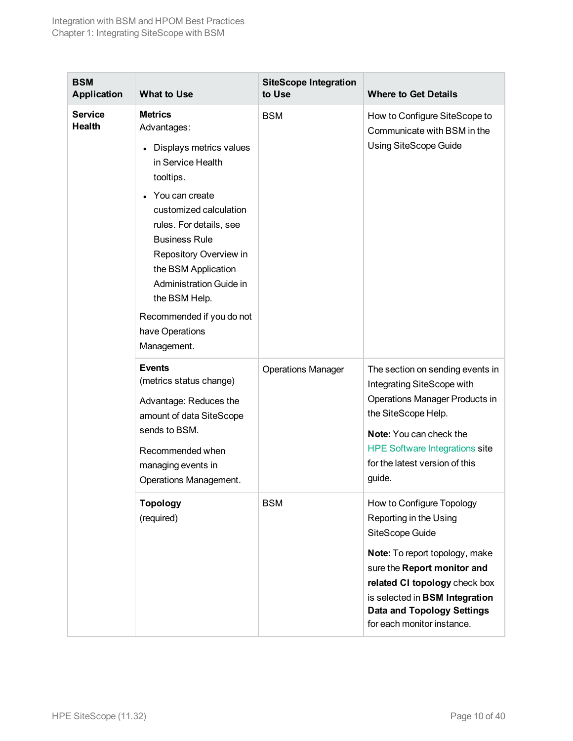<span id="page-9-0"></span>

| <b>BSM</b><br><b>Application</b> | <b>What to Use</b>                                                                                                                                                                                                                                                                                                                                      | <b>SiteScope Integration</b><br>to Use | <b>Where to Get Details</b>                                                                                                                                                                                                                                                   |
|----------------------------------|---------------------------------------------------------------------------------------------------------------------------------------------------------------------------------------------------------------------------------------------------------------------------------------------------------------------------------------------------------|----------------------------------------|-------------------------------------------------------------------------------------------------------------------------------------------------------------------------------------------------------------------------------------------------------------------------------|
| <b>Service</b><br>Health         | <b>Metrics</b><br>Advantages:<br>• Displays metrics values<br>in Service Health<br>tooltips.<br>You can create<br>customized calculation<br>rules. For details, see<br><b>Business Rule</b><br>Repository Overview in<br>the BSM Application<br>Administration Guide in<br>the BSM Help.<br>Recommended if you do not<br>have Operations<br>Management. | <b>BSM</b>                             | How to Configure SiteScope to<br>Communicate with BSM in the<br><b>Using SiteScope Guide</b>                                                                                                                                                                                  |
|                                  | <b>Events</b><br>(metrics status change)<br>Advantage: Reduces the<br>amount of data SiteScope<br>sends to BSM.<br>Recommended when<br>managing events in<br>Operations Management.                                                                                                                                                                     | <b>Operations Manager</b>              | The section on sending events in<br>Integrating SiteScope with<br>Operations Manager Products in<br>the SiteScope Help.<br><b>Note:</b> You can check the<br><b>HPE Software Integrations site</b><br>for the latest version of this<br>guide.                                |
|                                  | <b>Topology</b><br>(required)                                                                                                                                                                                                                                                                                                                           | <b>BSM</b>                             | How to Configure Topology<br>Reporting in the Using<br>SiteScope Guide<br>Note: To report topology, make<br>sure the Report monitor and<br>related CI topology check box<br>is selected in BSM Integration<br><b>Data and Topology Settings</b><br>for each monitor instance. |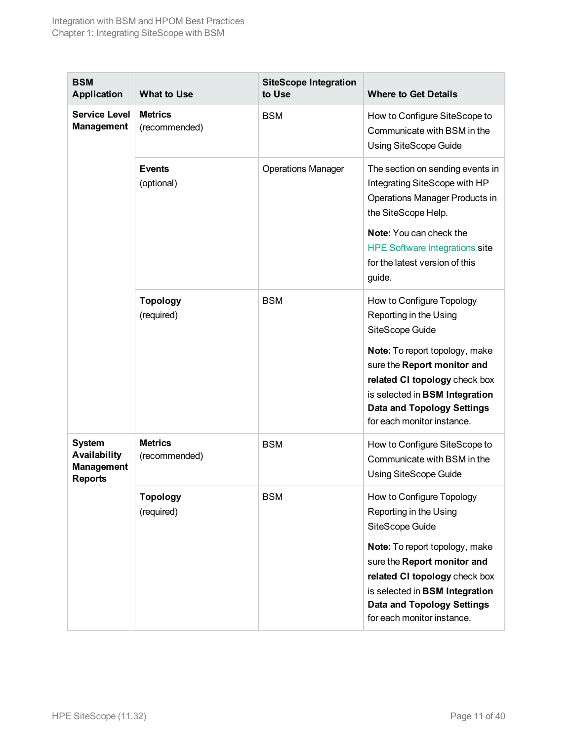| <b>BSM</b><br><b>Application</b>                                     | <b>What to Use</b>              | <b>SiteScope Integration</b><br>to Use | <b>Where to Get Details</b>                                                                                                                                                                         |
|----------------------------------------------------------------------|---------------------------------|----------------------------------------|-----------------------------------------------------------------------------------------------------------------------------------------------------------------------------------------------------|
| <b>Service Level</b><br><b>Management</b>                            | <b>Metrics</b><br>(recommended) | <b>BSM</b>                             | How to Configure SiteScope to<br>Communicate with BSM in the<br><b>Using SiteScope Guide</b>                                                                                                        |
|                                                                      | <b>Events</b><br>(optional)     | <b>Operations Manager</b>              | The section on sending events in<br>Integrating SiteScope with HP<br><b>Operations Manager Products in</b><br>the SiteScope Help.                                                                   |
|                                                                      |                                 |                                        | Note: You can check the<br><b>HPE Software Integrations site</b><br>for the latest version of this<br>guide.                                                                                        |
|                                                                      | <b>Topology</b><br>(required)   | <b>BSM</b>                             | How to Configure Topology<br>Reporting in the Using<br>SiteScope Guide                                                                                                                              |
|                                                                      |                                 |                                        | Note: To report topology, make<br>sure the Report monitor and<br>related CI topology check box<br>is selected in BSM Integration<br><b>Data and Topology Settings</b><br>for each monitor instance. |
| <b>System</b><br>Availability<br><b>Management</b><br><b>Reports</b> | <b>Metrics</b><br>(recommended) | <b>BSM</b>                             | How to Configure SiteScope to<br>Communicate with BSM in the<br><b>Using SiteScope Guide</b>                                                                                                        |
|                                                                      | <b>Topology</b><br>(required)   | <b>BSM</b>                             | How to Configure Topology<br>Reporting in the Using<br>SiteScope Guide                                                                                                                              |
|                                                                      |                                 |                                        | Note: To report topology, make<br>sure the Report monitor and<br>related CI topology check box<br>is selected in BSM Integration<br><b>Data and Topology Settings</b><br>for each monitor instance. |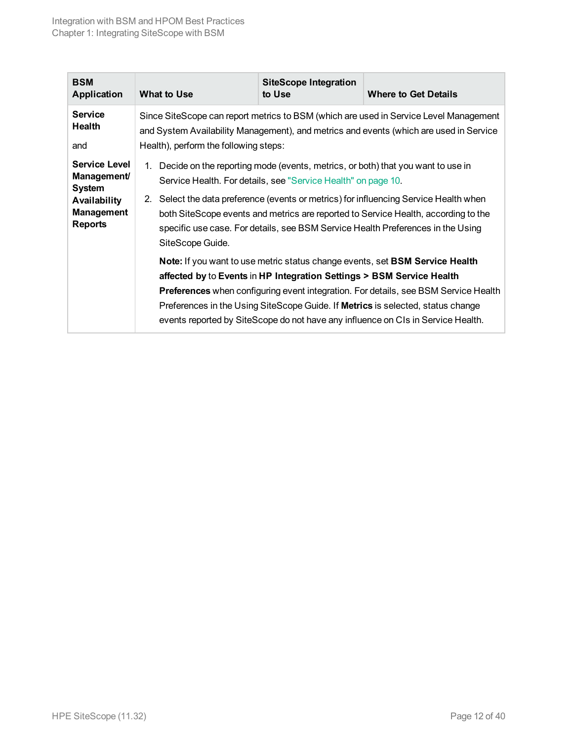| <b>BSM</b><br><b>Application</b>                                                                                          | What to Use                                                                                                                                                                                                              | <b>SiteScope Integration</b><br>to Use                                                                                                 | <b>Where to Get Details</b>                                                                                                                                                                                                                                                                                                                                                                                                                                                                                                                                                                                             |
|---------------------------------------------------------------------------------------------------------------------------|--------------------------------------------------------------------------------------------------------------------------------------------------------------------------------------------------------------------------|----------------------------------------------------------------------------------------------------------------------------------------|-------------------------------------------------------------------------------------------------------------------------------------------------------------------------------------------------------------------------------------------------------------------------------------------------------------------------------------------------------------------------------------------------------------------------------------------------------------------------------------------------------------------------------------------------------------------------------------------------------------------------|
| <b>Service</b><br>Health<br>and                                                                                           | Since SiteScope can report metrics to BSM (which are used in Service Level Management<br>and System Availability Management), and metrics and events (which are used in Service<br>Health), perform the following steps: |                                                                                                                                        |                                                                                                                                                                                                                                                                                                                                                                                                                                                                                                                                                                                                                         |
| <b>Service Level</b><br><b>Management/</b><br><b>System</b><br><b>Availability</b><br><b>Management</b><br><b>Reports</b> | 1. Decide on the reporting mode (events, metrics, or both) that you want to use in<br>2.<br>SiteScope Guide.                                                                                                             | Service Health. For details, see "Service Health" on page 10.<br>affected by to Events in HP Integration Settings > BSM Service Health | Select the data preference (events or metrics) for influencing Service Health when<br>both SiteScope events and metrics are reported to Service Health, according to the<br>specific use case. For details, see BSM Service Health Preferences in the Using<br>Note: If you want to use metric status change events, set BSM Service Health<br><b>Preferences</b> when configuring event integration. For details, see BSM Service Health<br>Preferences in the Using SiteScope Guide. If <b>Metrics</b> is selected, status change<br>events reported by SiteScope do not have any influence on CIs in Service Health. |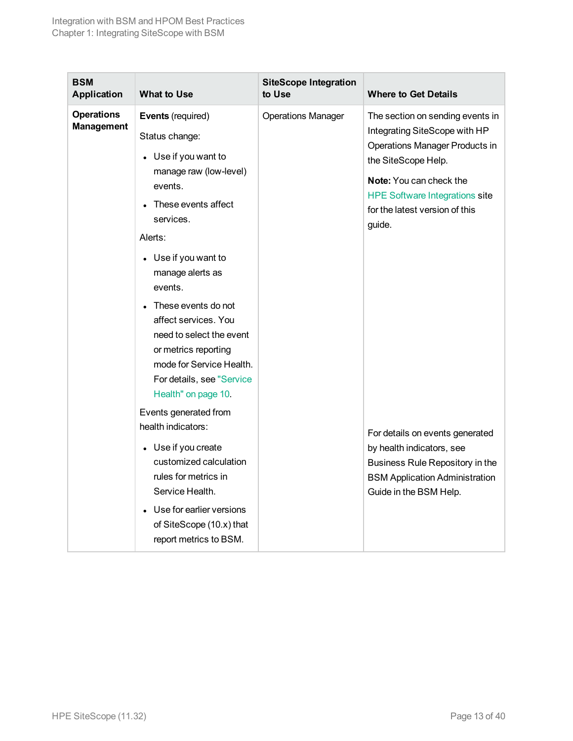<span id="page-12-0"></span>

| <b>BSM</b><br><b>Application</b>       | <b>What to Use</b>                                                                                                                                                                                                                                                                                                                                                                                                                                                                                                                                                 | <b>SiteScope Integration</b><br>to Use | <b>Where to Get Details</b>                                                                                                                                                                                                                                                                                                                                                                                             |
|----------------------------------------|--------------------------------------------------------------------------------------------------------------------------------------------------------------------------------------------------------------------------------------------------------------------------------------------------------------------------------------------------------------------------------------------------------------------------------------------------------------------------------------------------------------------------------------------------------------------|----------------------------------------|-------------------------------------------------------------------------------------------------------------------------------------------------------------------------------------------------------------------------------------------------------------------------------------------------------------------------------------------------------------------------------------------------------------------------|
| <b>Operations</b><br><b>Management</b> | Events (required)<br>Status change:<br>• Use if you want to<br>manage raw (low-level)<br>events.<br>These events affect<br>services.<br>Alerts:<br>• Use if you want to<br>manage alerts as<br>events.<br>These events do not<br>affect services. You<br>need to select the event<br>or metrics reporting<br>mode for Service Health.<br>For details, see "Service<br>Health" on page 10.<br>Events generated from<br>health indicators:<br>• Use if you create<br>customized calculation<br>rules for metrics in<br>Service Health.<br>• Use for earlier versions | <b>Operations Manager</b>              | The section on sending events in<br>Integrating SiteScope with HP<br><b>Operations Manager Products in</b><br>the SiteScope Help.<br>Note: You can check the<br><b>HPE Software Integrations site</b><br>for the latest version of this<br>guide.<br>For details on events generated<br>by health indicators, see<br>Business Rule Repository in the<br><b>BSM Application Administration</b><br>Guide in the BSM Help. |
|                                        | of SiteScope (10.x) that<br>report metrics to BSM.                                                                                                                                                                                                                                                                                                                                                                                                                                                                                                                 |                                        |                                                                                                                                                                                                                                                                                                                                                                                                                         |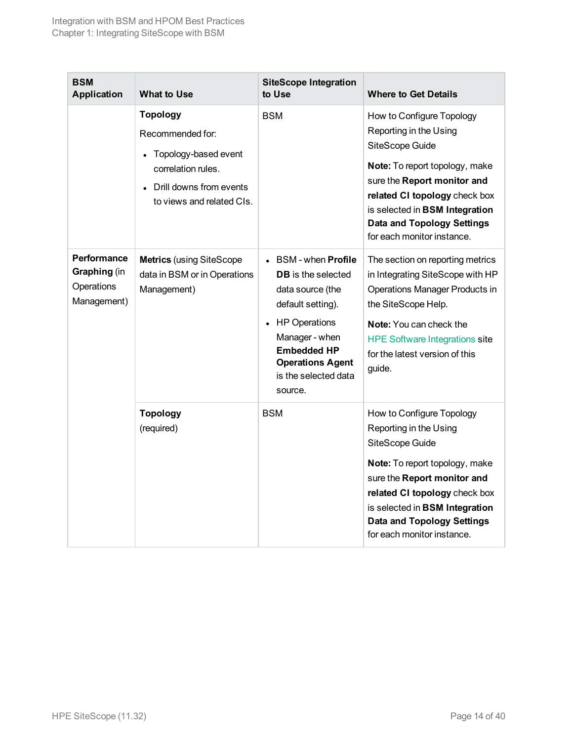| <b>BSM</b><br><b>Application</b>                                | <b>What to Use</b>                                                                                                                        | <b>SiteScope Integration</b><br>to Use                                                                                                                                                                                             | <b>Where to Get Details</b>                                                                                                                                                                                                                                                   |
|-----------------------------------------------------------------|-------------------------------------------------------------------------------------------------------------------------------------------|------------------------------------------------------------------------------------------------------------------------------------------------------------------------------------------------------------------------------------|-------------------------------------------------------------------------------------------------------------------------------------------------------------------------------------------------------------------------------------------------------------------------------|
|                                                                 | <b>Topology</b><br>Recommended for:<br>Topology-based event<br>correlation rules.<br>Drill downs from events<br>to views and related CIs. | <b>BSM</b>                                                                                                                                                                                                                         | How to Configure Topology<br>Reporting in the Using<br>SiteScope Guide<br>Note: To report topology, make<br>sure the Report monitor and<br>related CI topology check box<br>is selected in BSM Integration<br><b>Data and Topology Settings</b><br>for each monitor instance. |
| <b>Performance</b><br>Graphing (in<br>Operations<br>Management) | <b>Metrics</b> (using SiteScope<br>data in BSM or in Operations<br>Management)                                                            | $\bullet$ BSM - when <b>Profile</b><br><b>DB</b> is the selected<br>data source (the<br>default setting).<br>• HP Operations<br>Manager - when<br><b>Embedded HP</b><br><b>Operations Agent</b><br>is the selected data<br>source. | The section on reporting metrics<br>in Integrating SiteScope with HP<br>Operations Manager Products in<br>the SiteScope Help.<br>Note: You can check the<br><b>HPE Software Integrations site</b><br>for the latest version of this<br>guide.                                 |
|                                                                 | <b>Topology</b><br>(required)                                                                                                             | <b>BSM</b>                                                                                                                                                                                                                         | How to Configure Topology<br>Reporting in the Using<br>SiteScope Guide<br>Note: To report topology, make<br>sure the Report monitor and<br>related CI topology check box<br>is selected in BSM Integration<br><b>Data and Topology Settings</b><br>for each monitor instance. |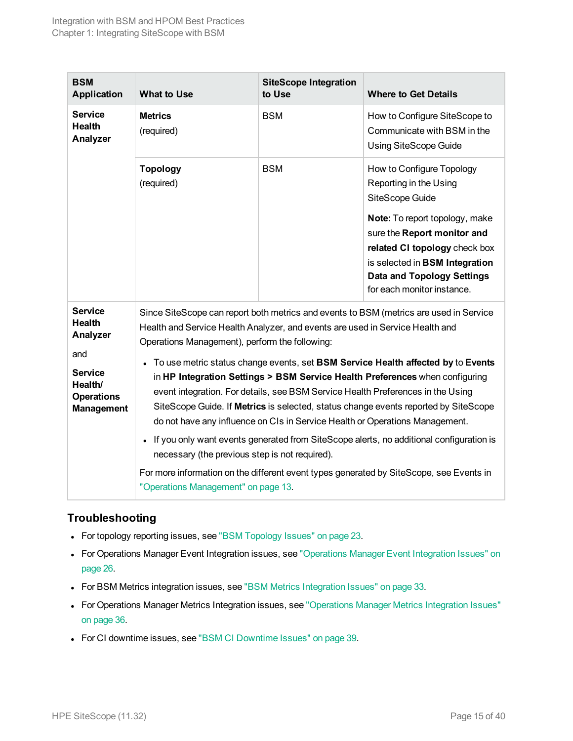| <b>BSM</b><br><b>Application</b>                                                                                          | <b>What to Use</b>                                                                                                                                                                | <b>SiteScope Integration</b><br>to Use | <b>Where to Get Details</b>                                                                                                                                                                                                                                                                                                                                                                                                                                                                                                                                                                                     |
|---------------------------------------------------------------------------------------------------------------------------|-----------------------------------------------------------------------------------------------------------------------------------------------------------------------------------|----------------------------------------|-----------------------------------------------------------------------------------------------------------------------------------------------------------------------------------------------------------------------------------------------------------------------------------------------------------------------------------------------------------------------------------------------------------------------------------------------------------------------------------------------------------------------------------------------------------------------------------------------------------------|
| <b>Service</b><br><b>Health</b><br>Analyzer                                                                               | <b>Metrics</b><br>(required)                                                                                                                                                      | <b>BSM</b>                             | How to Configure SiteScope to<br>Communicate with BSM in the<br><b>Using SiteScope Guide</b>                                                                                                                                                                                                                                                                                                                                                                                                                                                                                                                    |
|                                                                                                                           | <b>Topology</b><br>(required)                                                                                                                                                     | <b>BSM</b>                             | How to Configure Topology<br>Reporting in the Using<br>SiteScope Guide<br>Note: To report topology, make<br>sure the Report monitor and<br>related CI topology check box<br>is selected in BSM Integration<br><b>Data and Topology Settings</b><br>for each monitor instance.                                                                                                                                                                                                                                                                                                                                   |
| <b>Service</b><br><b>Health</b><br>Analyzer<br>and<br><b>Service</b><br>Health/<br><b>Operations</b><br><b>Management</b> | Health and Service Health Analyzer, and events are used in Service Health and<br>Operations Management), perform the following:<br>necessary (the previous step is not required). |                                        | Since SiteScope can report both metrics and events to BSM (metrics are used in Service<br>To use metric status change events, set BSM Service Health affected by to Events<br>in HP Integration Settings > BSM Service Health Preferences when configuring<br>event integration. For details, see BSM Service Health Preferences in the Using<br>SiteScope Guide. If Metrics is selected, status change events reported by SiteScope<br>do not have any influence on CIs in Service Health or Operations Management.<br>If you only want events generated from SiteScope alerts, no additional configuration is |
|                                                                                                                           | "Operations Management" on page 13.                                                                                                                                               |                                        | For more information on the different event types generated by SiteScope, see Events in                                                                                                                                                                                                                                                                                                                                                                                                                                                                                                                         |

# <span id="page-14-0"></span>**Troubleshooting**

- For topology reporting issues, see "BSM [Topology](#page-22-0) Issues" on page 23.
- For Operations Manager Event Integration issues, see ["Operations](#page-25-0) Manager Event Integration Issues" on [page 26.](#page-25-0)
- For BSM Metrics integration issues, see "BSM Metrics [Integration](#page-32-0) Issues" on page 33.
- For Operations Manager Metrics Integration issues, see ["Operations](#page-35-0) Manager Metrics Integration Issues" on [page 36.](#page-35-0)
- For CI downtime issues, see "BSM CI [Downtime](#page-38-0) Issues" on page 39.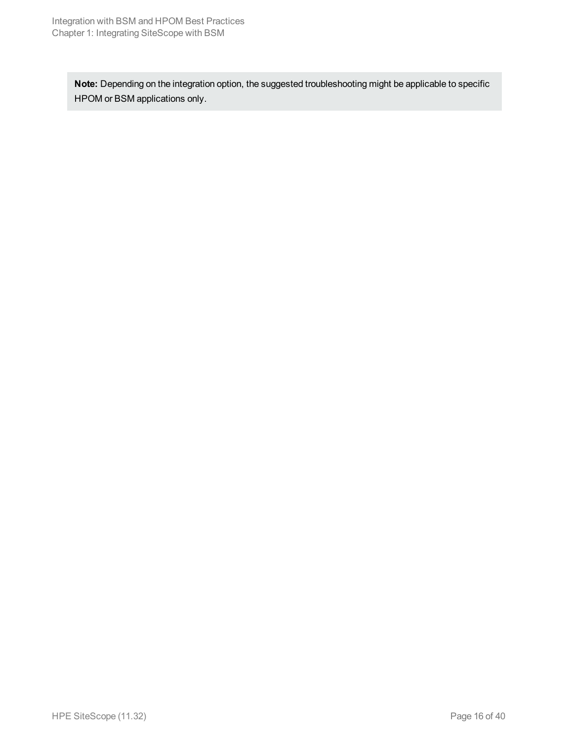**Note:** Depending on the integration option, the suggested troubleshooting might be applicable to specific HPOM or BSM applications only.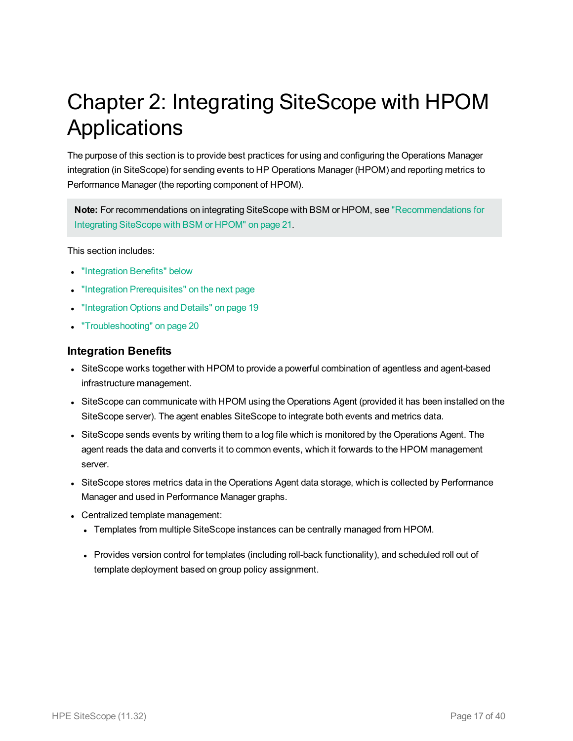# <span id="page-16-0"></span>Chapter 2: Integrating SiteScope with HPOM **Applications**

The purpose of this section is to provide best practices for using and configuring the Operations Manager integration (in SiteScope) for sending events to HP Operations Manager (HPOM) and reporting metrics to Performance Manager (the reporting component of HPOM).

**Note:** For recommendations on integrating SiteScope with BSM or HPOM, see ["Recommendations](#page-20-0) for [Integrating](#page-20-0) SiteScope with BSM or HPOM" on page 21.

This section includes:

- ["Integration](#page-16-1) Benefits" below
- "Integration [Prerequisites"](#page-17-0) on the next page
- ["Integration](#page-18-0) Options and Details" on page 19
- <span id="page-16-1"></span>• ["Troubleshooting"](#page-19-0) on page 20

#### **Integration Benefits**

- SiteScope works together with HPOM to provide a powerful combination of agentless and agent-based infrastructure management.
- SiteScope can communicate with HPOM using the Operations Agent (provided it has been installed on the SiteScope server). The agent enables SiteScope to integrate both events and metrics data.
- SiteScope sends events by writing them to a log file which is monitored by the Operations Agent. The agent reads the data and converts it to common events, which it forwards to the HPOM management server.
- SiteScope stores metrics data in the Operations Agent data storage, which is collected by Performance Manager and used in Performance Manager graphs.
- Centralized template management:
	- Templates from multiple SiteScope instances can be centrally managed from HPOM.
	- Provides version control for templates (including roll-back functionality), and scheduled roll out of template deployment based on group policy assignment.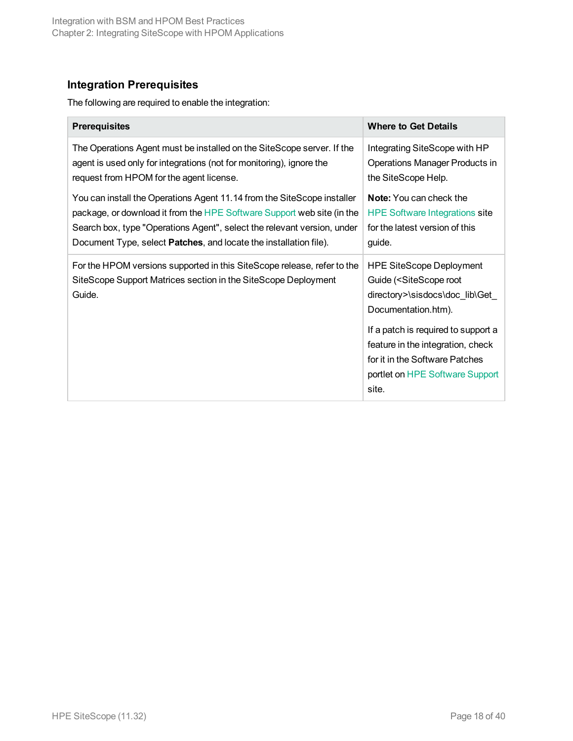# <span id="page-17-0"></span>**Integration Prerequisites**

The following are required to enable the integration:

| <b>Prerequisites</b>                                                                                                                                | <b>Where to Get Details</b>                                                                                                                                                                                                                                                                            |
|-----------------------------------------------------------------------------------------------------------------------------------------------------|--------------------------------------------------------------------------------------------------------------------------------------------------------------------------------------------------------------------------------------------------------------------------------------------------------|
| The Operations Agent must be installed on the SiteScope server. If the                                                                              | Integrating SiteScope with HP                                                                                                                                                                                                                                                                          |
| agent is used only for integrations (not for monitoring), ignore the                                                                                | <b>Operations Manager Products in</b>                                                                                                                                                                                                                                                                  |
| request from HPOM for the agent license.                                                                                                            | the SiteScope Help.                                                                                                                                                                                                                                                                                    |
| You can install the Operations Agent 11.14 from the SiteScope installer                                                                             | <b>Note:</b> You can check the                                                                                                                                                                                                                                                                         |
| package, or download it from the HPE Software Support web site (in the                                                                              | <b>HPE Software Integrations site</b>                                                                                                                                                                                                                                                                  |
| Search box, type "Operations Agent", select the relevant version, under                                                                             | for the latest version of this                                                                                                                                                                                                                                                                         |
| Document Type, select <b>Patches</b> , and locate the installation file).                                                                           | guide.                                                                                                                                                                                                                                                                                                 |
| For the HPOM versions supported in this SiteScope release, refer to the<br>SiteScope Support Matrices section in the SiteScope Deployment<br>Guide. | <b>HPE SiteScope Deployment</b><br>Guide ( <sitescope root<br="">directory&gt;\sisdocs\doc_lib\Get_<br/>Documentation.htm).<br/>If a patch is required to support a<br/>feature in the integration, check<br/>for it in the Software Patches<br/>portlet on HPE Software Support<br/>site.</sitescope> |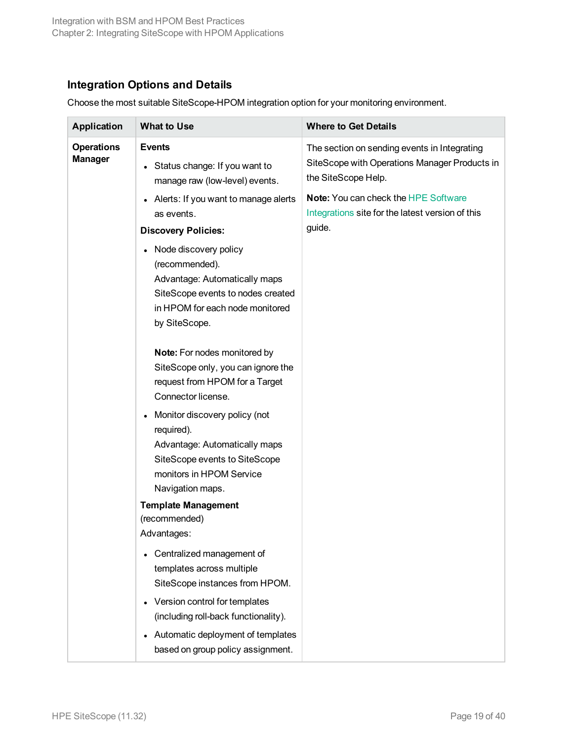# <span id="page-18-0"></span>**Integration Options and Details**

Choose the most suitable SiteScope-HPOM integration option for your monitoring environment.

| <b>Application</b>                  | <b>What to Use</b>                                                                                                                                                             | <b>Where to Get Details</b>                                                                                          |
|-------------------------------------|--------------------------------------------------------------------------------------------------------------------------------------------------------------------------------|----------------------------------------------------------------------------------------------------------------------|
| <b>Operations</b><br><b>Manager</b> | <b>Events</b><br>Status change: If you want to<br>$\bullet$<br>manage raw (low-level) events.                                                                                  | The section on sending events in Integrating<br>SiteScope with Operations Manager Products in<br>the SiteScope Help. |
|                                     | Alerts: If you want to manage alerts<br>as events.<br><b>Discovery Policies:</b>                                                                                               | Note: You can check the HPE Software<br>Integrations site for the latest version of this<br>guide.                   |
|                                     | Node discovery policy<br>$\bullet$<br>(recommended).<br>Advantage: Automatically maps<br>SiteScope events to nodes created<br>in HPOM for each node monitored<br>by SiteScope. |                                                                                                                      |
|                                     | Note: For nodes monitored by<br>SiteScope only, you can ignore the<br>request from HPOM for a Target<br>Connector license.                                                     |                                                                                                                      |
|                                     | Monitor discovery policy (not<br>$\bullet$<br>required).<br>Advantage: Automatically maps<br>SiteScope events to SiteScope<br>monitors in HPOM Service<br>Navigation maps.     |                                                                                                                      |
|                                     | <b>Template Management</b><br>(recommended)<br>Advantages:                                                                                                                     |                                                                                                                      |
|                                     | Centralized management of<br>$\bullet$<br>templates across multiple<br>SiteScope instances from HPOM.                                                                          |                                                                                                                      |
|                                     | Version control for templates<br>$\bullet$<br>(including roll-back functionality).<br>Automatic deployment of templates<br>$\bullet$<br>based on group policy assignment.      |                                                                                                                      |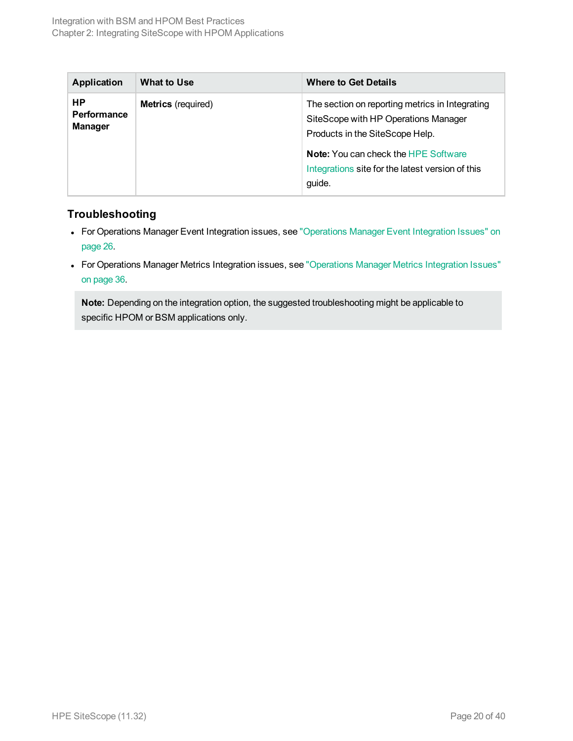| <b>Application</b>                   | What to Use               | <b>Where to Get Details</b>                                                                                                                                               |
|--------------------------------------|---------------------------|---------------------------------------------------------------------------------------------------------------------------------------------------------------------------|
| HP.<br>Performance<br><b>Manager</b> | <b>Metrics</b> (required) | The section on reporting metrics in Integrating<br>SiteScope with HP Operations Manager<br>Products in the SiteScope Help.<br><b>Note:</b> You can check the HPE Software |
|                                      |                           | Integrations site for the latest version of this<br>guide.                                                                                                                |

# <span id="page-19-0"></span>**Troubleshooting**

- For Operations Manager Event Integration issues, see ["Operations](#page-25-0) Manager Event Integration Issues" on [page 26.](#page-25-0)
- For Operations Manager Metrics Integration issues, see ["Operations](#page-35-0) Manager Metrics Integration Issues" on [page 36.](#page-35-0)

**Note:** Depending on the integration option, the suggested troubleshooting might be applicable to specific HPOM or BSM applications only.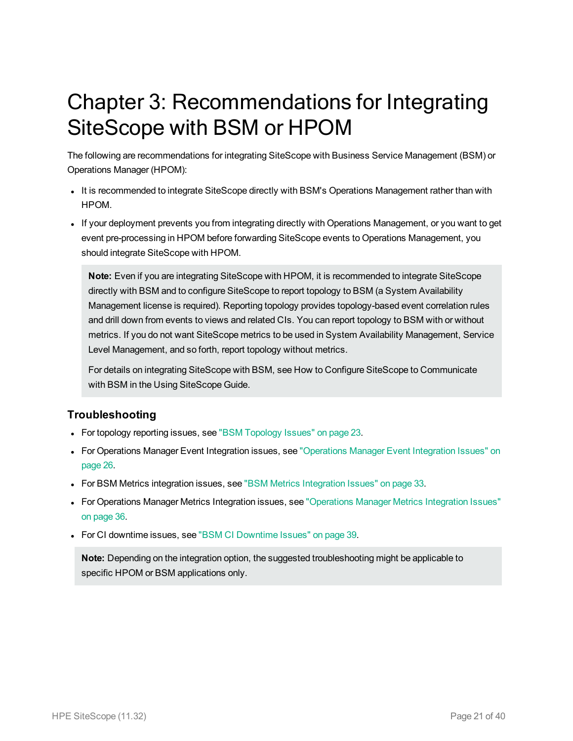# <span id="page-20-0"></span>Chapter 3: Recommendations for Integrating SiteScope with BSM or HPOM

The following are recommendations for integrating SiteScope with Business Service Management (BSM) or Operations Manager (HPOM):

- It is recommended to integrate SiteScope directly with BSM's Operations Management rather than with HPOM.
- If your deployment prevents you from integrating directly with Operations Management, or you want to get event pre-processing in HPOM before forwarding SiteScope events to Operations Management, you should integrate SiteScope with HPOM.

**Note:** Even if you are integrating SiteScope with HPOM, it is recommended to integrate SiteScope directly with BSM and to configure SiteScope to report topology to BSM (a System Availability Management license is required). Reporting topology provides topology-based event correlation rules and drill down from events to views and related CIs. You can report topology to BSM with or without metrics. If you do not want SiteScope metrics to be used in System Availability Management, Service Level Management, and so forth, report topology without metrics.

For details on integrating SiteScope with BSM, see How to Configure SiteScope to Communicate with BSM in the Using SiteScope Guide.

## **Troubleshooting**

- For topology reporting issues, see "BSM [Topology](#page-22-0) Issues" on page 23.
- For Operations Manager Event Integration issues, see ["Operations](#page-25-0) Manager Event Integration Issues" on [page 26.](#page-25-0)
- For BSM Metrics integration issues, see "BSM Metrics [Integration](#page-32-0) Issues" on page 33.
- For Operations Manager Metrics Integration issues, see ["Operations](#page-35-0) Manager Metrics Integration Issues" on [page 36.](#page-35-0)
- For CI downtime issues, see "BSM CI [Downtime](#page-38-0) Issues" on page 39.

**Note:** Depending on the integration option, the suggested troubleshooting might be applicable to specific HPOM or BSM applications only.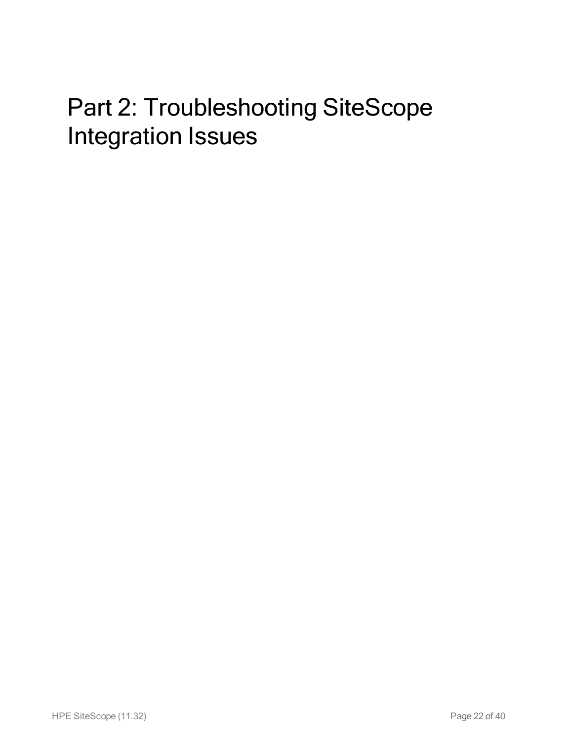# <span id="page-21-0"></span>Part 2: Troubleshooting SiteScope Integration Issues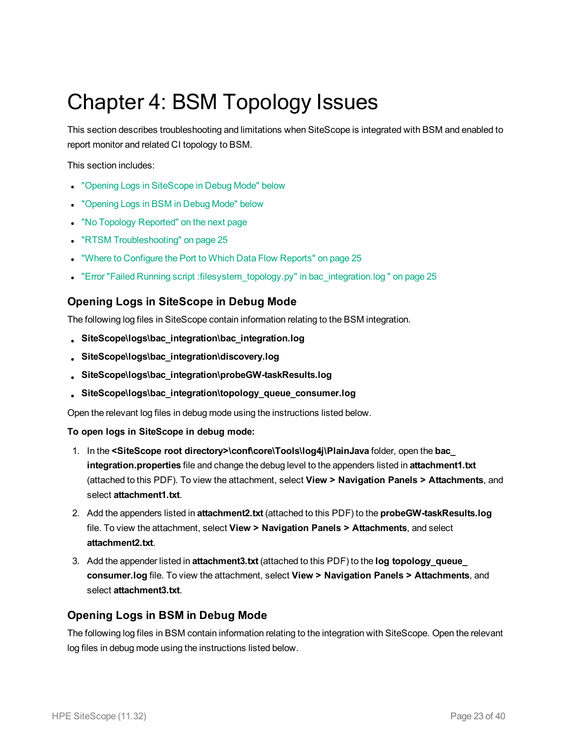# <span id="page-22-0"></span>Chapter 4: BSM Topology Issues

This section describes troubleshooting and limitations when SiteScope is integrated with BSM and enabled to report monitor and related CI topology to BSM.

This section includes:

- "Opening Logs in [SiteScope](#page-22-1) in Debug Mode" below
- ["Opening](#page-22-2) Logs in BSM in Debug Mode" below
- "No Topology [Reported"](#page-23-0) on the next page
- "RTSM [Troubleshooting"](#page-24-0) on page 25
- . "Where to [Configure](#page-24-1) the Port to Which Data Flow Reports" on page 25
- <span id="page-22-1"></span><sup>l</sup> "Error "Failed Running script [:filesystem\\_topology.py"](#page-24-2) in bac\_integration.log " on page 25

# **Opening Logs in SiteScope in Debug Mode**

The following log files in SiteScope contain information relating to the BSM integration.

- <sup>l</sup> **SiteScope\logs\bac\_integration\bac\_integration.log**
- <sup>l</sup> **SiteScope\logs\bac\_integration\discovery.log**
- <sup>l</sup> **SiteScope\logs\bac\_integration\probeGW-taskResults.log**
- <sup>l</sup> **SiteScope\logs\bac\_integration\topology\_queue\_consumer.log**

Open the relevant log files in debug mode using the instructions listed below.

**To open logs in SiteScope in debug mode:**

- 1. In the **<SiteScope root directory>\conf\core\Tools\log4j\PlainJava** folder, open the **bac\_ integration.properties** file and change the debug level to the appenders listed in **attachment1.txt** (attached to this PDF). To view the attachment, select **View > Navigation Panels > Attachments**, and select **attachment1.txt**.
- 2. Add the appenders listed in **attachment2.txt** (attached to this PDF) to the **probeGW-taskResults.log** file. To view the attachment, select **View > Navigation Panels > Attachments**, and select **attachment2.txt**.
- 3. Add the appender listed in **attachment3.txt** (attached to this PDF) to the **log topology\_queue\_ consumer.log** file. To view the attachment, select **View > Navigation Panels > Attachments**, and select **attachment3.txt**.

## <span id="page-22-2"></span>**Opening Logs in BSM in Debug Mode**

The following log files in BSM contain information relating to the integration with SiteScope. Open the relevant log files in debug mode using the instructions listed below.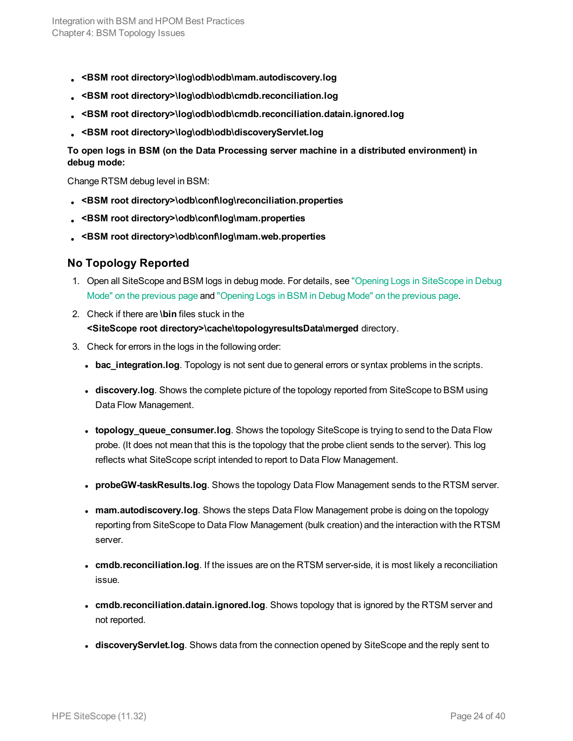- <sup>l</sup> **<BSM root directory>\log\odb\odb\mam.autodiscovery.log**
- <sup>l</sup> **<BSM root directory>\log\odb\odb\cmdb.reconciliation.log**
- <sup>l</sup> **<BSM root directory>\log\odb\odb\cmdb.reconciliation.datain.ignored.log**
- <sup>l</sup> **<BSM root directory>\log\odb\odb\discoveryServlet.log**

**To open logs in BSM (on the Data Processing server machine in a distributed environment) in debug mode:**

Change RTSM debug level in BSM:

- <sup>l</sup> **<BSM root directory>\odb\conf\log\reconciliation.properties**
- <sup>l</sup> **<BSM root directory>\odb\conf\log\mam.properties**
- <span id="page-23-0"></span><sup>l</sup> **<BSM root directory>\odb\conf\log\mam.web.properties**

#### **No Topology Reported**

- 1. Open all SiteScope and BSM logs in debug mode. For details, see "Opening Logs in [SiteScope](#page-22-1) in Debug Mode" on the [previous](#page-22-1) page and ["Opening](#page-22-2) Logs in BSM in Debug Mode" on the previous page.
- 2. Check if there are **\bin** files stuck in the **<SiteScope root directory>\cache\topologyresultsData\merged** directory.
- 3. Check for errors in the logs in the following order:
	- **bac\_integration.log**. Topology is not sent due to general errors or syntax problems in the scripts.
	- **discovery.log**. Shows the complete picture of the topology reported from SiteScope to BSM using Data Flow Management.
	- **topology\_queue\_consumer.log**. Shows the topology SiteScope is trying to send to the Data Flow probe. (It does not mean that this is the topology that the probe client sends to the server). This log reflects what SiteScope script intended to report to Data Flow Management.
	- **probeGW-taskResults.log**. Shows the topology Data Flow Management sends to the RTSM server.
	- **mam.autodiscovery.log**. Shows the steps Data Flow Management probe is doing on the topology reporting from SiteScope to Data Flow Management (bulk creation) and the interaction with the RTSM server.
	- **cmdb.reconciliation.log**. If the issues are on the RTSM server-side, it is most likely a reconciliation issue.
	- **cmdb.reconciliation.datain.ignored.log**. Shows topology that is ignored by the RTSM server and not reported.
	- **discoveryServlet.log**. Shows data from the connection opened by SiteScope and the reply sent to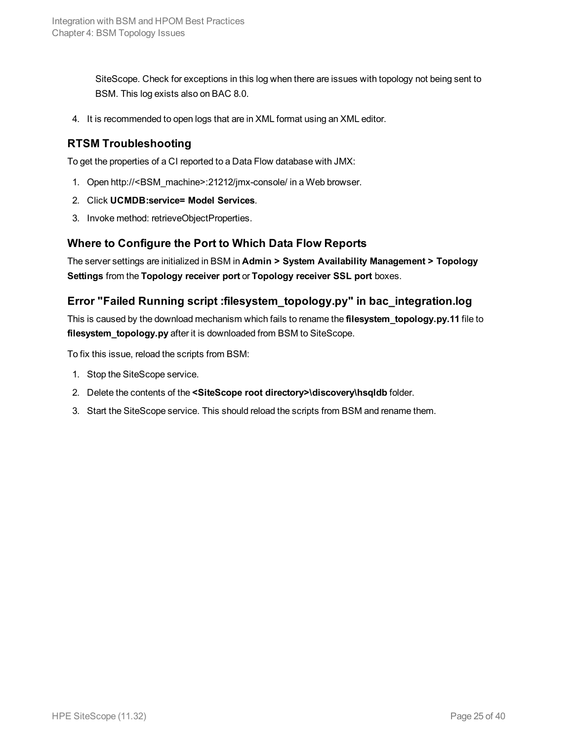SiteScope. Check for exceptions in this log when there are issues with topology not being sent to BSM. This log exists also on BAC 8.0.

<span id="page-24-0"></span>4. It is recommended to open logs that are in XML format using an XML editor.

## **RTSM Troubleshooting**

To get the properties of a CI reported to a Data Flow database with JMX:

- 1. Open http://<BSM\_machine>:21212/jmx-console/ in a Web browser.
- 2. Click **UCMDB:service= Model Services**.
- <span id="page-24-1"></span>3. Invoke method: retrieveObjectProperties.

#### **Where to Configure the Port to Which Data Flow Reports**

The server settings are initialized in BSM in **Admin > System Availability Management > Topology Settings** from the **Topology receiver port** or **Topology receiver SSL port** boxes.

## <span id="page-24-2"></span>**Error "Failed Running script :filesystem\_topology.py" in bac\_integration.log**

This is caused by the download mechanism which fails to rename the **filesystem\_topology.py.11** file to **filesystem\_topology.py** after it is downloaded from BSM to SiteScope.

To fix this issue, reload the scripts from BSM:

- 1. Stop the SiteScope service.
- 2. Delete the contents of the **<SiteScope root directory>\discovery\hsqldb** folder.
- 3. Start the SiteScope service. This should reload the scripts from BSM and rename them.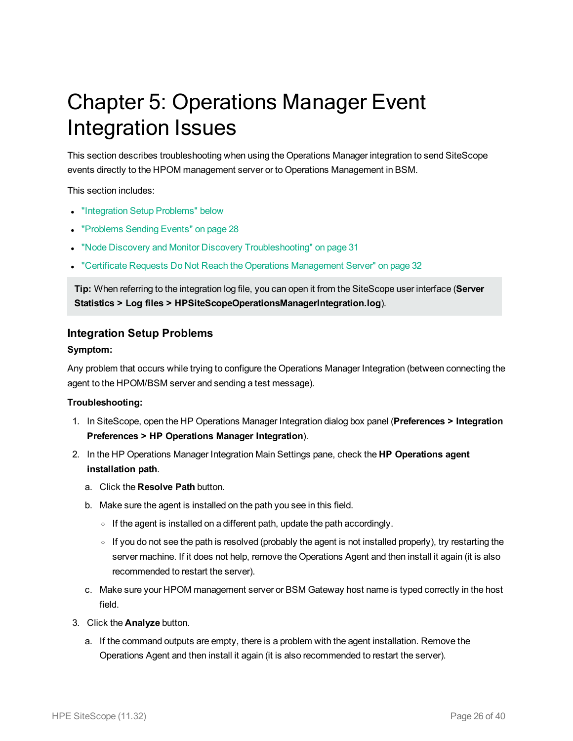# <span id="page-25-0"></span>Chapter 5: Operations Manager Event Integration Issues

This section describes troubleshooting when using the Operations Manager integration to send SiteScope events directly to the HPOM management server or to Operations Management in BSM.

This section includes:

- ["Integration](#page-25-1) Setup Problems" below
- ["Problems](#page-27-0) Sending Events" on page 28
- "Node Discovery and Monitor Discovery [Troubleshooting"](#page-30-0) on page 31
- <sup>l</sup> "Certificate Requests Do Not Reach the Operations [Management](#page-31-0) Server" on page 32

**Tip:** When referring to the integration log file, you can open it from the SiteScope user interface (**Server Statistics > Log files > HPSiteScopeOperationsManagerIntegration.log**).

#### <span id="page-25-1"></span>**Integration Setup Problems**

#### **Symptom:**

Any problem that occurs while trying to configure the Operations Manager Integration (between connecting the agent to the HPOM/BSM server and sending a test message).

#### **Troubleshooting:**

- 1. In SiteScope, open the HP Operations Manager Integration dialog box panel (**Preferences > Integration Preferences > HP Operations Manager Integration**).
- 2. In the HP Operations Manager Integration Main Settings pane, check the **HP Operations agent installation path**.
	- a. Click the **Resolve Path** button.
	- b. Make sure the agent is installed on the path you see in this field.
		- $\circ$  If the agent is installed on a different path, update the path accordingly.
		- $\circ$  If you do not see the path is resolved (probably the agent is not installed properly), try restarting the server machine. If it does not help, remove the Operations Agent and then install it again (it is also recommended to restart the server).
	- c. Make sure your HPOM management server or BSM Gateway host name is typed correctly in the host field.
- 3. Click the **Analyze** button.
	- a. If the command outputs are empty, there is a problem with the agent installation. Remove the Operations Agent and then install it again (it is also recommended to restart the server).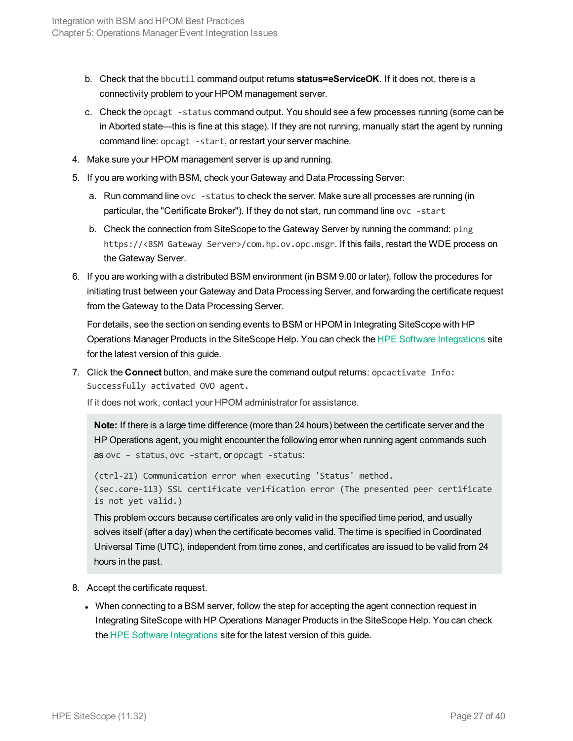- b. Check that the bbcutil command output returns **status=eServiceOK**. If it does not, there is a connectivity problem to your HPOM management server.
- c. Check the opcagt -status command output. You should see a few processes running (some can be in Aborted state—this is fine at this stage). If they are not running, manually start the agent by running command line: opcagt -start, or restart your server machine.
- 4. Make sure your HPOM management server is up and running.
- 5. If you are working with BSM, check your Gateway and Data Processing Server:
	- a. Run command line ovc -status to check the server. Make sure all processes are running (in particular, the "Certificate Broker"). If they do not start, run command line ovc -start
	- b. Check the connection from SiteScope to the Gateway Server by running the command: ping https://<BSM Gateway Server>/com.hp.ov.opc.msgr. If this fails, restart the WDE process on the Gateway Server.
- 6. If you are working with a distributed BSM environment (in BSM 9.00 or later), follow the procedures for initiating trust between your Gateway and Data Processing Server, and forwarding the certificate request from the Gateway to the Data Processing Server.

For details, see the section on sending events to BSM or HPOM in Integrating SiteScope with HP Operations Manager Products in the SiteScope Help. You can check the [HPE Software](https://hpenterprise.sharepoint.com/teams/aztec/Portal/index.html) Integrations site for the latest version of this guide.

7. Click the **Connect** button, and make sure the command output returns: opcactivate Info: Successfully activated OVO agent.

If it does not work, contact your HPOM administrator for assistance.

**Note:** If there is a large time difference (more than 24 hours) between the certificate server and the HP Operations agent, you might encounter the following error when running agent commands such as ovc – status, ovc –start, or opcagt -status:

```
(ctrl-21) Communication error when executing 'Status' method.
(sec.core-113) SSL certificate verification error (The presented peer certificate
is not yet valid.)
```
This problem occurs because certificates are only valid in the specified time period, and usually solves itself (after a day) when the certificate becomes valid. The time is specified in Coordinated Universal Time (UTC), independent from time zones, and certificates are issued to be valid from 24 hours in the past.

- 8. Accept the certificate request.
	- When connecting to a BSM server, follow the step for accepting the agent connection request in Integrating SiteScope with HP Operations Manager Products in the SiteScope Help. You can check the [HPE Software](https://hpenterprise.sharepoint.com/teams/aztec/Portal/index.html) Integrations site for the latest version of this guide.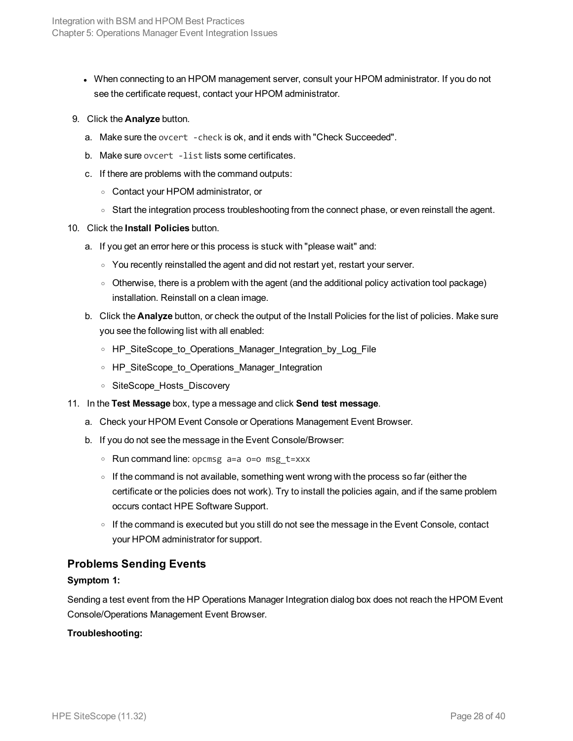- When connecting to an HPOM management server, consult your HPOM administrator. If you do not see the certificate request, contact your HPOM administrator.
- 9. Click the **Analyze** button.
	- a. Make sure the ovcert -check is ok, and it ends with "Check Succeeded".
	- b. Make sure ovcert -list lists some certificates.
	- c. If there are problems with the command outputs:
		- <sup>o</sup> Contact your HPOM administrator, or
		- Start the integration process troubleshooting from the connect phase, or even reinstall the agent.
- 10. Click the **Install Policies** button.
	- a. If you get an error here or this process is stuck with "please wait" and:
		- You recently reinstalled the agent and did not restart yet, restart your server.
		- o Otherwise, there is a problem with the agent (and the additional policy activation tool package) installation. Reinstall on a clean image.
	- b. Click the **Analyze** button, or check the output of the Install Policies for the list of policies. Make sure you see the following list with all enabled:
		- <sup>o</sup> HP\_SiteScope\_to\_Operations\_Manager\_Integration\_by\_Log\_File
		- HP SiteScope to Operations Manager Integration
		- <sup>o</sup> SiteScope\_Hosts\_Discovery
- 11. In the **Test Message** box, type a message and click **Send test message**.
	- a. Check your HPOM Event Console or Operations Management Event Browser.
	- b. If you do not see the message in the Event Console/Browser:
		- <sup>o</sup> Run command line: opcmsg a=a o=o msg\_t=xxx
		- $\circ$  If the command is not available, something went wrong with the process so far (either the certificate or the policies does not work). Try to install the policies again, and if the same problem occurs contact HPE Software Support.
		- o If the command is executed but you still do not see the message in the Event Console, contact your HPOM administrator for support.

#### <span id="page-27-0"></span>**Problems Sending Events**

#### **Symptom 1:**

Sending a test event from the HP Operations Manager Integration dialog box does not reach the HPOM Event Console/Operations Management Event Browser.

#### **Troubleshooting:**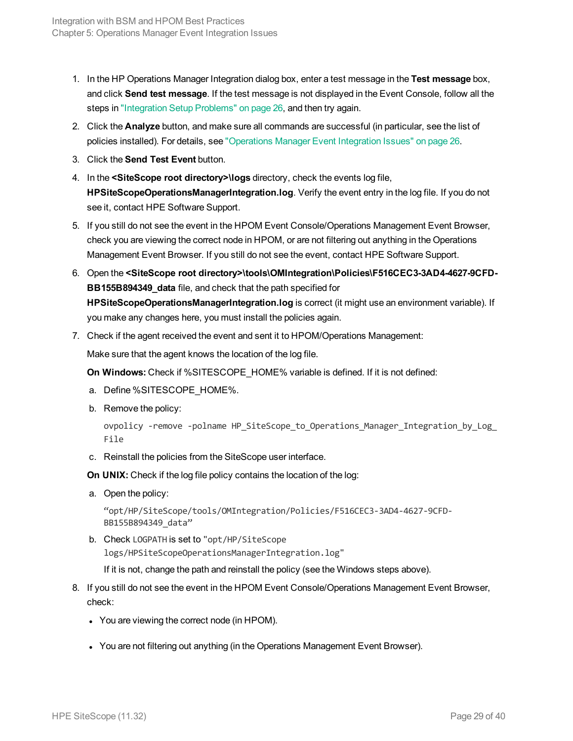- 1. In the HP Operations Manager Integration dialog box, enter a test message in the **Test message** box, and click **Send test message**. If the test message is not displayed in the Event Console, follow all the steps in ["Integration](#page-25-1) Setup Problems" on page 26, and then try again.
- 2. Click the **Analyze** button, and make sure all commands are successful (in particular, see the list of policies installed). For details, see ["Operations](#page-25-0) Manager Event Integration Issues" on page 26.
- 3. Click the **Send Test Event** button.
- 4. In the **<SiteScope root directory>\logs** directory, check the events log file, **HPSiteScopeOperationsManagerIntegration.log**. Verify the event entry in the log file. If you do not see it, contact HPE Software Support.
- 5. If you still do not see the event in the HPOM Event Console/Operations Management Event Browser, check you are viewing the correct node in HPOM, or are not filtering out anything in the Operations Management Event Browser. If you still do not see the event, contact HPE Software Support.
- 6. Open the **<SiteScope root directory>\tools\OMIntegration\Policies\F516CEC3-3AD4-4627-9CFD-BB155B894349\_data** file, and check that the path specified for **HPSiteScopeOperationsManagerIntegration.log** is correct (it might use an environment variable). If you make any changes here, you must install the policies again.
- 7. Check if the agent received the event and sent it to HPOM/Operations Management:

Make sure that the agent knows the location of the log file.

**On Windows:** Check if %SITESCOPE\_HOME% variable is defined. If it is not defined:

- a. Define %SITESCOPE\_HOME%.
- b. Remove the policy:

```
ovpolicy -remove -polname HP SiteScope to Operations Manager Integration by Log
File
```
c. Reinstall the policies from the SiteScope user interface.

**On UNIX:** Check if the log file policy contains the location of the log:

a. Open the policy:

"opt/HP/SiteScope/tools/OMIntegration/Policies/F516CEC3-3AD4-4627-9CFD-BB155B894349\_data"

b. Check LOGPATH is set to "opt/HP/SiteScope logs/HPSiteScopeOperationsManagerIntegration.log"

If it is not, change the path and reinstall the policy (see the Windows steps above).

- 8. If you still do not see the event in the HPOM Event Console/Operations Management Event Browser, check:
	- You are viewing the correct node (in HPOM).
	- You are not filtering out anything (in the Operations Management Event Browser).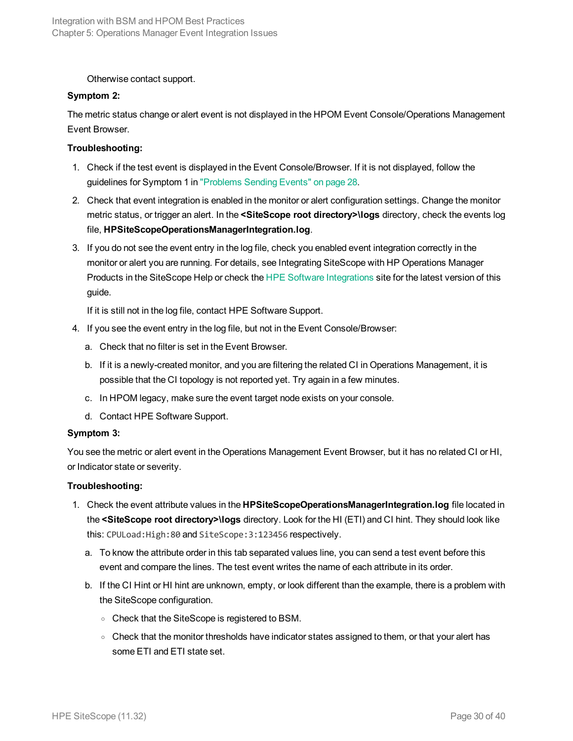Otherwise contact support.

#### **Symptom 2:**

The metric status change or alert event is not displayed in the HPOM Event Console/Operations Management Event Browser.

#### **Troubleshooting:**

- 1. Check if the test event is displayed in the Event Console/Browser. If it is not displayed, follow the guidelines for Symptom 1 in ["Problems](#page-27-0) Sending Events" on page 28.
- 2. Check that event integration is enabled in the monitor or alert configuration settings. Change the monitor metric status, or trigger an alert. In the **<SiteScope root directory>\logs** directory, check the events log file, **HPSiteScopeOperationsManagerIntegration.log**.
- 3. If you do not see the event entry in the log file, check you enabled event integration correctly in the monitor or alert you are running. For details, see Integrating SiteScope with HP Operations Manager Products in the SiteScope Help or check the [HPE Software](https://hpenterprise.sharepoint.com/teams/aztec/Portal/index.html) Integrations site for the latest version of this guide.

If it is still not in the log file, contact HPE Software Support.

- 4. If you see the event entry in the log file, but not in the Event Console/Browser:
	- a. Check that no filter is set in the Event Browser.
	- b. If it is a newly-created monitor, and you are filtering the related CI in Operations Management, it is possible that the CI topology is not reported yet. Try again in a few minutes.
	- c. In HPOM legacy, make sure the event target node exists on your console.
	- d. Contact HPE Software Support.

#### **Symptom 3:**

You see the metric or alert event in the Operations Management Event Browser, but it has no related CI or HI, or Indicator state or severity.

#### **Troubleshooting:**

- 1. Check the event attribute values in the **HPSiteScopeOperationsManagerIntegration.log** file located in the **<SiteScope root directory>\logs** directory. Look for the HI (ETI) and CI hint. They should look like this: CPULoad:High:80 and SiteScope:3:123456 respectively.
	- a. To know the attribute order in this tab separated values line, you can send a test event before this event and compare the lines. The test event writes the name of each attribute in its order.
	- b. If the CI Hint or HI hint are unknown, empty, or look different than the example, there is a problem with the SiteScope configuration.
		- <sup>o</sup> Check that the SiteScope is registered to BSM.
		- $\circ$  Check that the monitor thresholds have indicator states assigned to them, or that your alert has some ETI and ETI state set.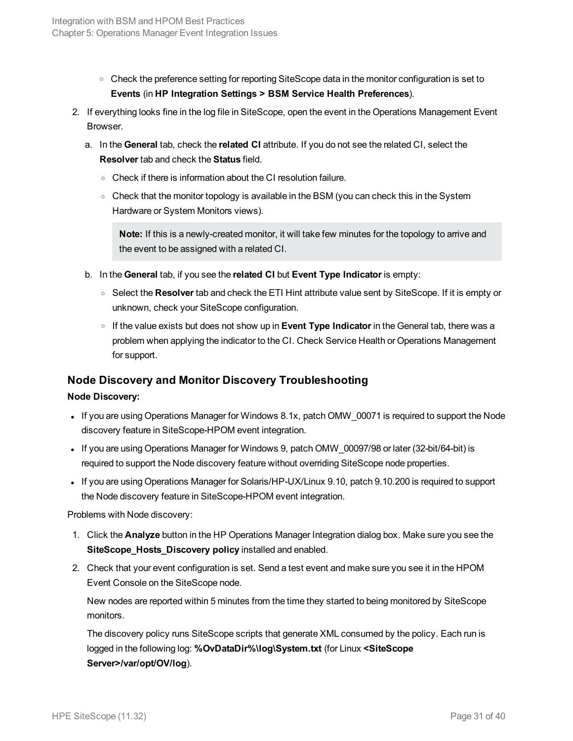- Check the preference setting for reporting SiteScope data in the monitor configuration is set to **Events** (in **HP Integration Settings > BSM Service Health Preferences**).
- 2. If everything looks fine in the log file in SiteScope, open the event in the Operations Management Event Browser.
	- a. In the **General** tab, check the **related CI** attribute. If you do not see the related CI, select the **Resolver** tab and check the **Status** field.
		- <sup>o</sup> Check if there is information about the CI resolution failure.
		- Check that the monitor topology is available in the BSM (you can check this in the System Hardware or System Monitors views).

**Note:** If this is a newly-created monitor, it will take few minutes for the topology to arrive and the event to be assigned with a related CI.

- b. In the **General** tab, if you see the **related CI** but **Event Type Indicator** is empty:
	- <sup>o</sup> Select the **Resolver** tab and check the ETI Hint attribute value sent by SiteScope. If it is empty or unknown, check your SiteScope configuration.
	- <sup>o</sup> If the value exists but does not show up in **Event Type Indicator** in the General tab, there was a problem when applying the indicator to the CI. Check Service Health or Operations Management for support.

## <span id="page-30-0"></span>**Node Discovery and Monitor Discovery Troubleshooting**

#### **Node Discovery:**

- If you are using Operations Manager for Windows 8.1x, patch OMW\_00071 is required to support the Node discovery feature in SiteScope-HPOM event integration.
- If you are using Operations Manager for Windows 9, patch OMW 00097/98 or later (32-bit/64-bit) is required to support the Node discovery feature without overriding SiteScope node properties.
- If you are using Operations Manager for Solaris/HP-UX/Linux 9.10, patch 9.10.200 is required to support the Node discovery feature in SiteScope-HPOM event integration.

Problems with Node discovery:

- 1. Click the **Analyze** button in the HP Operations Manager Integration dialog box. Make sure you see the **SiteScope\_Hosts\_Discovery policy** installed and enabled.
- 2. Check that your event configuration is set. Send a test event and make sure you see it in the HPOM Event Console on the SiteScope node.

New nodes are reported within 5 minutes from the time they started to being monitored by SiteScope monitors.

The discovery policy runs SiteScope scripts that generate XML consumed by the policy. Each run is logged in the following log: **%OvDataDir%\log\System.txt** (for Linux **<SiteScope Server>/var/opt/OV/log**).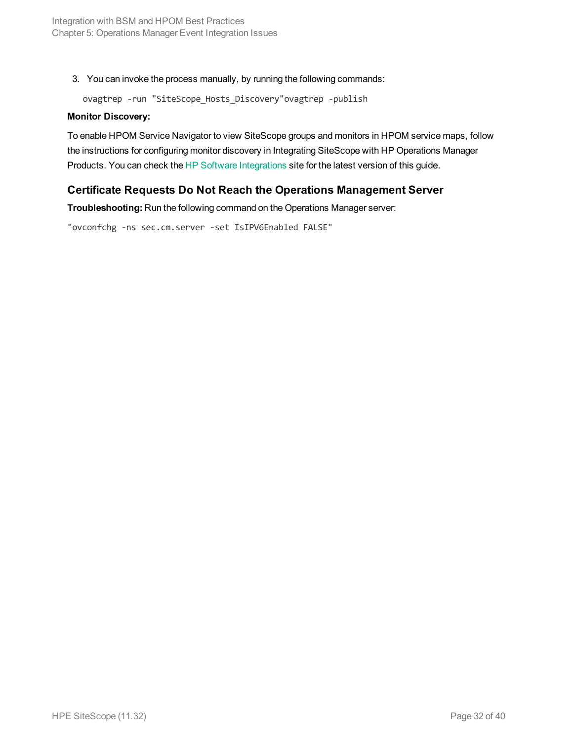3. You can invoke the process manually, by running the following commands:

ovagtrep -run "SiteScope\_Hosts\_Discovery"ovagtrep -publish

#### **Monitor Discovery:**

To enable HPOM Service Navigator to view SiteScope groups and monitors in HPOM service maps, follow the instructions for configuring monitor discovery in Integrating SiteScope with HP Operations Manager Products. You can check the [HP Software](https://softwaresupport.hp.com/group/softwaresupport/search-result/-/facetsearch/document/KM01695030) Integrations site for the latest version of this guide.

## <span id="page-31-0"></span>**Certificate Requests Do Not Reach the Operations Management Server**

**Troubleshooting:** Run the following command on the Operations Manager server:

"ovconfchg -ns sec.cm.server -set IsIPV6Enabled FALSE"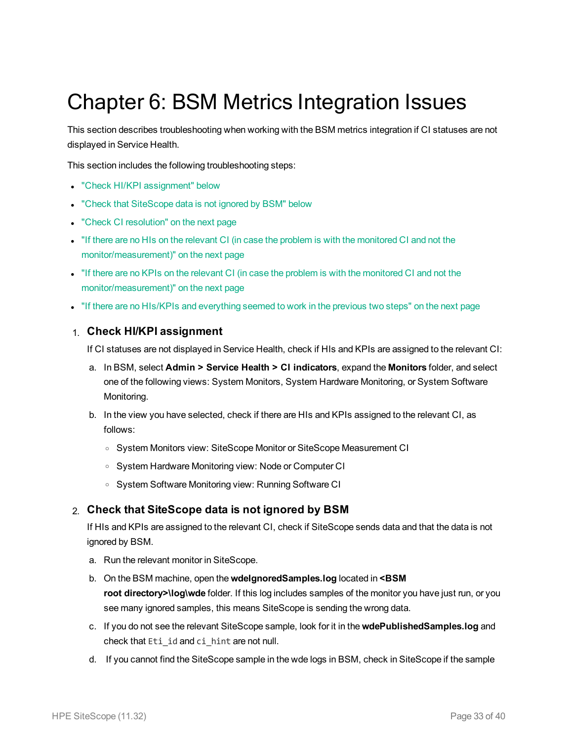# <span id="page-32-0"></span>Chapter 6: BSM Metrics Integration Issues

This section describes troubleshooting when working with the BSM metrics integration if CI statuses are not displayed in Service Health.

This section includes the following troubleshooting steps:

- "Check HI/KPI [assignment"](#page-32-1) below
- "Check that [SiteScope](#page-32-2) data is not ignored by BSM" below
- "Check CI [resolution"](#page-33-0) on the next page
- If there are no HIs on the relevant CI (in case the problem is with the [monitored](#page-33-1) CI and not the [monitor/measurement\)"](#page-33-1) on the next page
- If there are no KPIs on the relevant CI (in case the problem is with the [monitored](#page-33-2) CI and not the [monitor/measurement\)"](#page-33-2) on the next page
- "If there are no HIs/KPIs and [everything](#page-33-3) seemed to work in the previous two steps" on the next page

#### <span id="page-32-1"></span>1. **Check HI/KPI assignment**

If CI statuses are not displayed in Service Health, check if HIs and KPIs are assigned to the relevant CI:

- a. In BSM, select **Admin > Service Health > CI indicators**, expand the **Monitors** folder, and select one of the following views: System Monitors, System Hardware Monitoring, or System Software Monitoring.
- b. In the view you have selected, check if there are HIs and KPIs assigned to the relevant CI, as follows:
	- <sup>o</sup> System Monitors view: SiteScope Monitor or SiteScope Measurement CI
	- <sup>o</sup> System Hardware Monitoring view: Node or Computer CI
	- <sup>o</sup> System Software Monitoring view: Running Software CI

#### <span id="page-32-2"></span>2. **Check that SiteScope data is not ignored by BSM**

If HIs and KPIs are assigned to the relevant CI, check if SiteScope sends data and that the data is not ignored by BSM.

- a. Run the relevant monitor in SiteScope.
- b. On the BSM machine, open the **wdeIgnoredSamples.log** located in **<BSM root directory>\log\wde** folder. If this log includes samples of the monitor you have just run, or you see many ignored samples, this means SiteScope is sending the wrong data.
- c. If you do not see the relevant SiteScope sample, look for it in the **wdePublishedSamples.log** and check that Eti id and ci hint are not null.
- d. If you cannot find the SiteScope sample in the wde logs in BSM, check in SiteScope if the sample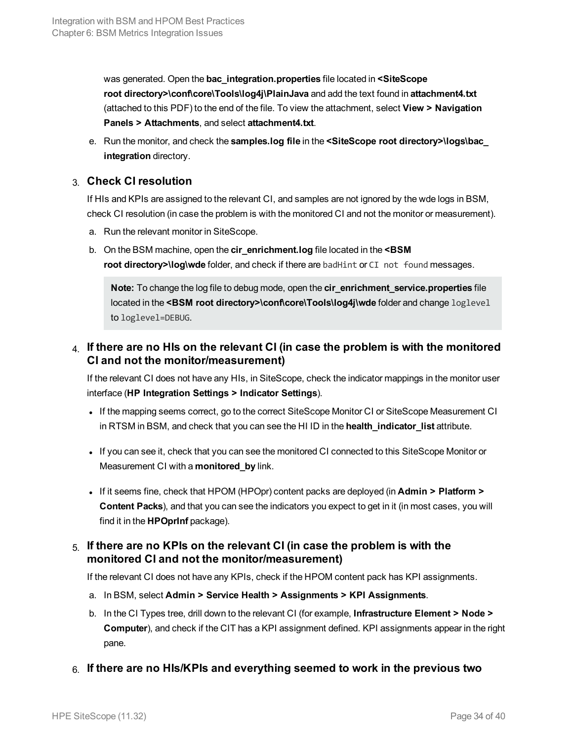was generated. Open the **bac\_integration.properties** file located in **<SiteScope root directory>\conf\core\Tools\log4j\PlainJava** and add the text found in **attachment4.txt** (attached to this PDF) to the end of the file. To view the attachment, select **View > Navigation Panels > Attachments**, and select **attachment4.txt**.

e. Run the monitor, and check the **samples.log file** in the **<SiteScope root directory>\logs\bac\_ integration** directory.

### <span id="page-33-0"></span>3. **Check CI resolution**

If HIs and KPIs are assigned to the relevant CI, and samples are not ignored by the wde logs in BSM, check CI resolution (in case the problem is with the monitored CI and not the monitor or measurement).

- a. Run the relevant monitor in SiteScope.
- b. On the BSM machine, open the **cir\_enrichment.log** file located in the **<BSM root directory>\log\wde** folder, and check if there are badHint or CI not found messages.

**Note:** To change the log file to debug mode, open the **cir\_enrichment\_service.properties** file located in the <BSM root directory>\conf\core\Tools\log4j\wde folder and change loglevel to loglevel=DEBUG.

# <span id="page-33-1"></span>4. **If there are no HIs on the relevant CI (in case the problem is with the monitored CI and not the monitor/measurement)**

If the relevant CI does not have any HIs, in SiteScope, check the indicator mappings in the monitor user interface (**HP Integration Settings > Indicator Settings**).

- <sup>l</sup> If the mapping seems correct, go to the correct SiteScope Monitor CI or SiteScope Measurement CI in RTSM in BSM, and check that you can see the HI ID in the **health\_indicator\_list** attribute.
- If you can see it, check that you can see the monitored CI connected to this SiteScope Monitor or Measurement CI with a **monitored\_by** link.
- <span id="page-33-2"></span><sup>l</sup> If it seems fine, check that HPOM (HPOpr) content packs are deployed (in **Admin > Platform > Content Packs**), and that you can see the indicators you expect to get in it (in most cases, you will find it in the **HPOprInf** package).

## 5. **If there are no KPIs on the relevant CI (in case the problem is with the monitored CI and not the monitor/measurement)**

If the relevant CI does not have any KPIs, check if the HPOM content pack has KPI assignments.

- a. In BSM, select **Admin > Service Health > Assignments > KPI Assignments**.
- b. In the CI Types tree, drill down to the relevant CI (for example, **Infrastructure Element > Node > Computer**), and check if the CIT has a KPI assignment defined. KPI assignments appear in the right pane.
- <span id="page-33-3"></span>6. **If there are no HIs/KPIs and everything seemed to work in the previous two**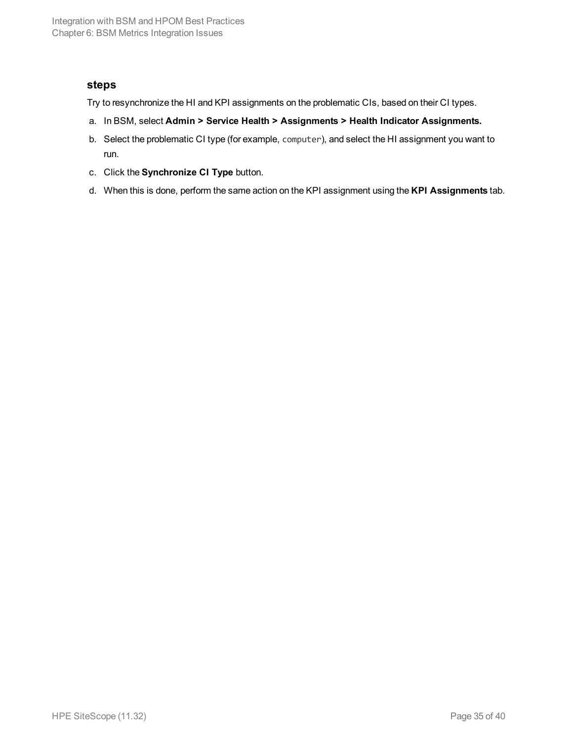#### **steps**

Try to resynchronize the HI and KPI assignments on the problematic CIs, based on their CI types.

- a. In BSM, select **Admin > Service Health > Assignments > Health Indicator Assignments.**
- b. Select the problematic CI type (for example, computer), and select the HI assignment you want to run.
- c. Click the **Synchronize CI Type** button.
- d. When this is done, perform the same action on the KPI assignment using the **KPI Assignments** tab.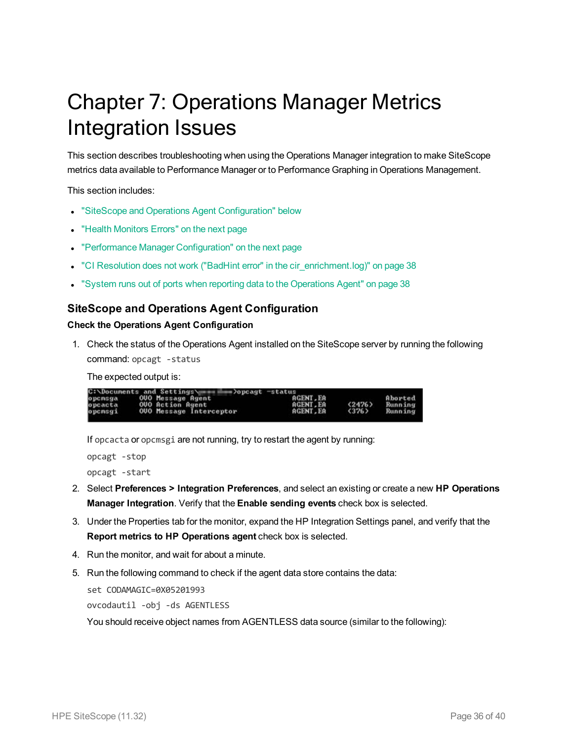# <span id="page-35-0"></span>Chapter 7: Operations Manager Metrics Integration Issues

This section describes troubleshooting when using the Operations Manager integration to make SiteScope metrics data available to Performance Manager or to Performance Graphing in Operations Management.

This section includes:

- **.** "SiteScope and Operations Agent [Configuration"](#page-35-1) below
- "Health [Monitors](#page-36-0) Errors" on the next page
- "Performance Manager [Configuration"](#page-36-1) on the next page
- "CI Resolution does not work ("BadHint error" in the [cir\\_enrichment.log\)"](#page-37-0) on page 38
- <span id="page-35-1"></span><sup>l</sup> "System runs out of ports when reporting data to the [Operations](#page-37-1) Agent" on page 38

#### **SiteScope and Operations Agent Configuration**

#### **Check the Operations Agent Configuration**

1. Check the status of the Operations Agent installed on the SiteScope server by running the following command: opcagt -status

The expected output is:

|         | C:\Documents and Settings\<br>∍>opcagt —status |                 |        |         |
|---------|------------------------------------------------|-----------------|--------|---------|
| opensga | OUO Message Agent                              | <b>AGENT.EA</b> |        | Aborted |
| opcacta | <b>OUO Action Agent</b>                        | AGENT.EA        | (2476) | Running |
| opcmsgi | <b>OUO Message Interceptor</b>                 | <b>AGENT.EA</b> | (376)  | Running |
|         |                                                |                 |        |         |

If opcacta or opcmsgi are not running, try to restart the agent by running:

```
opcagt -stop
opcagt -start
```
- 2. Select **Preferences > Integration Preferences**, and select an existing or create a new **HP Operations Manager Integration**. Verify that the **Enable sending events** check box is selected.
- 3. Under the Properties tab for the monitor, expand the HP Integration Settings panel, and verify that the **Report metrics to HP Operations agent** check box is selected.
- 4. Run the monitor, and wait for about a minute.
- 5. Run the following command to check if the agent data store contains the data:

```
set CODAMAGIC=0X05201993
ovcodautil -obj -ds AGENTLESS
```
You should receive object names from AGENTLESS data source (similar to the following):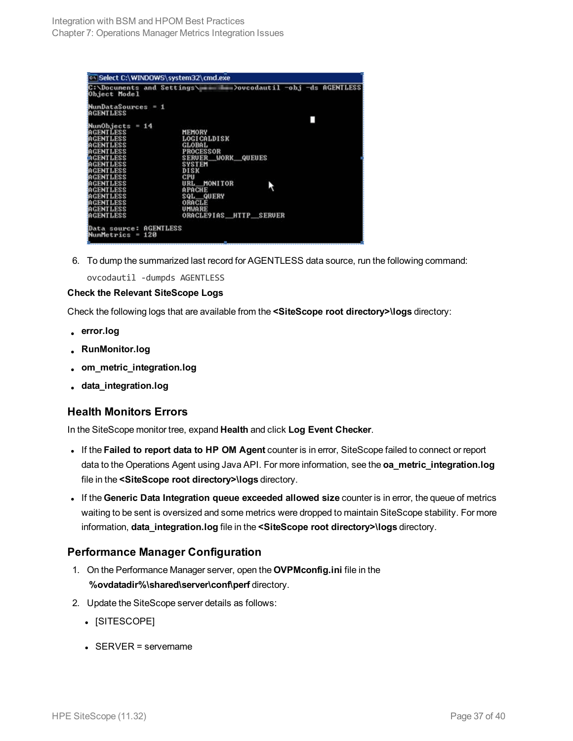| Object Model                                  | C:\Docunents and Settings\ in it is low boucodautil -obj -ds AGENTLESS |
|-----------------------------------------------|------------------------------------------------------------------------|
| $N$ um $D$ ataSources = 1<br><b>AGENTLESS</b> |                                                                        |
|                                               |                                                                        |
| NumObjects = 14                               |                                                                        |
| <b>AGENTLESS</b>                              | <b>MEMORY</b>                                                          |
| <b>AGENTLESS</b>                              | <b>LOGICALDISK</b>                                                     |
| <b>AGENTLESS</b>                              | <b>GLOBAL</b>                                                          |
| <b>AGENTLESS</b>                              | <b>PROCESSOR</b>                                                       |
| <b>AGENTLESS</b>                              | <b>SERUER WORK QUEUES</b>                                              |
| AGENTLESS                                     | <b>SYSTEM</b>                                                          |
| <b>AGENTLESS</b>                              | DISK                                                                   |
| <b>AGENTLESS</b>                              | CPU                                                                    |
| AGENTLESS                                     | URL MONITOR                                                            |
| <b>AGENTLESS</b>                              | <b>APACHE</b>                                                          |
| <b>AGENTLESS</b>                              | SQL QUERY                                                              |
| <b>AGENTLESS</b>                              | ORACLE                                                                 |
| <b>AGENTLESS</b>                              | UMWARE                                                                 |
| <b>AGENTLESS</b>                              | ORACLE9IAS HITP SERUER                                                 |
|                                               |                                                                        |
| Data source: AGENTLESS                        |                                                                        |
| NumMetrics = $120$                            |                                                                        |
|                                               | l                                                                      |

6. To dump the summarized last record for AGENTLESS data source, run the following command:

ovcodautil -dumpds AGENTLESS

#### **Check the Relevant SiteScope Logs**

Check the following logs that are available from the **<SiteScope root directory>\logs** directory:

- <sup>l</sup> **error.log**
- <sup>l</sup> **RunMonitor.log**
- <sup>l</sup> **om\_metric\_integration.log**
- <span id="page-36-0"></span><sup>l</sup> **data\_integration.log**

#### **Health Monitors Errors**

In the SiteScope monitor tree, expand **Health** and click **Log Event Checker**.

- <sup>l</sup> If the **Failed to report data to HP OM Agent** counter is in error, SiteScope failed to connect or report data to the Operations Agent using Java API. For more information, see the **oa\_metric\_integration.log** file in the **<SiteScope root directory>\logs** directory.
- <sup>l</sup> If the **Generic Data Integration queue exceeded allowed size** counter is in error, the queue of metrics waiting to be sent is oversized and some metrics were dropped to maintain SiteScope stability. For more information, **data\_integration.log** file in the **<SiteScope root directory>\logs** directory.

## <span id="page-36-1"></span>**Performance Manager Configuration**

- 1. On the Performance Manager server, open the **OVPMconfig.ini** file in the **%ovdatadir%\shared\server\conf\perf** directory.
- 2. Update the SiteScope server details as follows:
	- [SITESCOPE]
	- $\cdot$  SERVER = servername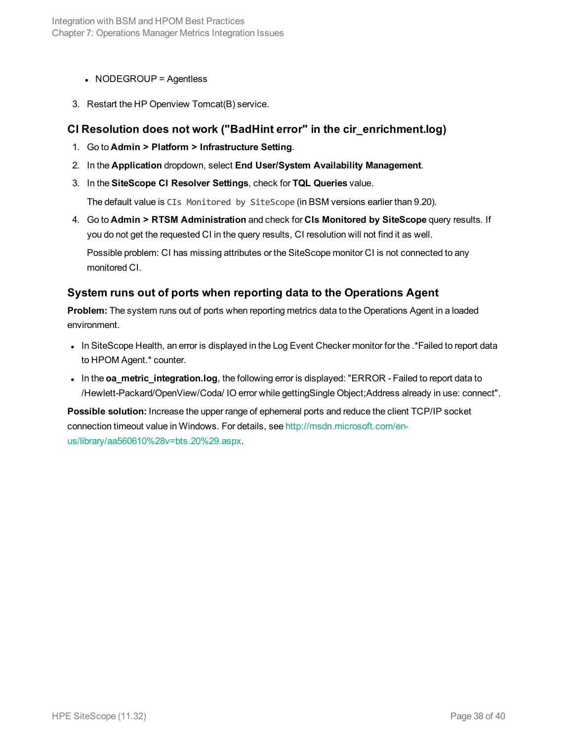#### $\bullet$  NODEGROUP = Agentless

<span id="page-37-0"></span>3. Restart the HP Openview Tomcat(B) service.

#### **CI Resolution does not work ("BadHint error" in the cir\_enrichment.log)**

- 1. Go to **Admin > Platform > Infrastructure Setting**.
- 2. In the **Application** dropdown, select **End User/System Availability Management**.
- 3. In the **SiteScope CI Resolver Settings**, check for **TQL Queries** value.

The default value is CIs Monitored by SiteScope (in BSM versions earlier than 9.20).

4. Go to **Admin > RTSM Administration** and check for **CIs Monitored by SiteScope** query results. If you do not get the requested CI in the query results, CI resolution will not find it as well.

Possible problem: CI has missing attributes or the SiteScope monitor CI is not connected to any monitored CI.

#### <span id="page-37-1"></span>**System runs out of ports when reporting data to the Operations Agent**

**Problem:** The system runs out of ports when reporting metrics data to the Operations Agent in a loaded environment.

- In SiteScope Health, an error is displayed in the Log Event Checker monitor for the .\*Failed to report data to HPOM Agent.\* counter.
- . In the **oa\_metric\_integration.log**, the following error is displayed: "ERROR Failed to report data to /Hewlett-Packard/OpenView/Coda/ IO error while gettingSingle Object;Address already in use: connect".

**Possible solution:** Increase the upper range of ephemeral ports and reduce the client TCP/IP socket connection timeout value in Windows. For details, see [http://msdn.microsoft.com/en](http://msdn.microsoft.com/en-us/library/aa560610(v=bts.20).aspx)[us/library/aa560610%28v=bts.20%29.aspx](http://msdn.microsoft.com/en-us/library/aa560610(v=bts.20).aspx).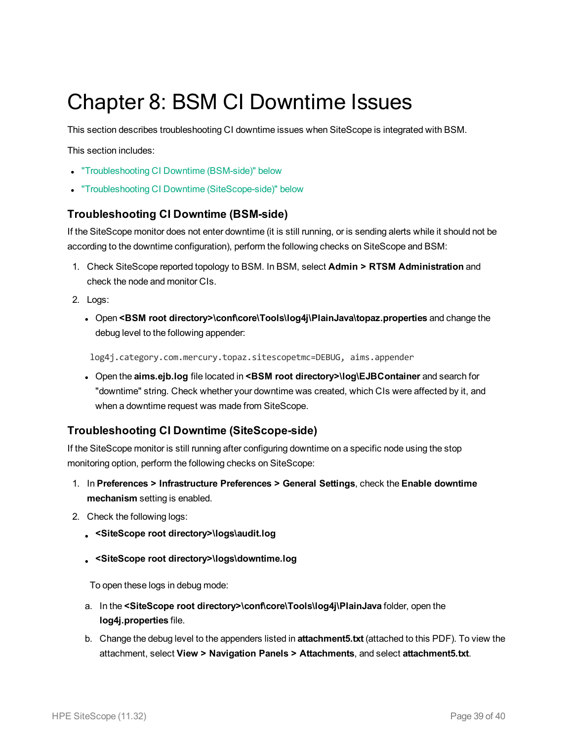# <span id="page-38-0"></span>Chapter 8: BSM CI Downtime Issues

This section describes troubleshooting CI downtime issues when SiteScope is integrated with BSM.

This section includes:

- ["Troubleshooting](#page-38-1) CI Downtime (BSM-side)" below
- <span id="page-38-1"></span>• "Troubleshooting CI Downtime [\(SiteScope-side\)"](#page-38-2) below

#### **Troubleshooting CI Downtime (BSM-side)**

If the SiteScope monitor does not enter downtime (it is still running, or is sending alerts while it should not be according to the downtime configuration), perform the following checks on SiteScope and BSM:

- 1. Check SiteScope reported topology to BSM. In BSM, select **Admin > RTSM Administration** and check the node and monitor CIs.
- 2. Logs:
	- <sup>l</sup> Open **<BSM root directory>\conf\core\Tools\log4j\PlainJava\topaz.properties** and change the debug level to the following appender:

log4j.category.com.mercury.topaz.sitescopetmc=DEBUG, aims.appender

<sup>l</sup> Open the **aims.ejb.log** file located in **<BSM root directory>\log\EJBContainer** and search for "downtime" string. Check whether your downtime was created, which CIs were affected by it, and when a downtime request was made from SiteScope.

#### <span id="page-38-2"></span>**Troubleshooting CI Downtime (SiteScope-side)**

If the SiteScope monitor is still running after configuring downtime on a specific node using the stop monitoring option, perform the following checks on SiteScope:

- 1. In **Preferences > Infrastructure Preferences > General Settings**, check the **Enable downtime mechanism** setting is enabled.
- 2. Check the following logs:
	- <sup>l</sup> **<SiteScope root directory>\logs\audit.log**
	- <sup>l</sup> **<SiteScope root directory>\logs\downtime.log**

To open these logs in debug mode:

- a. In the **<SiteScope root directory>\conf\core\Tools\log4j\PlainJava** folder, open the **log4j.properties** file.
- b. Change the debug level to the appenders listed in **attachment5.txt** (attached to this PDF). To view the attachment, select **View > Navigation Panels > Attachments**, and select **attachment5.txt**.